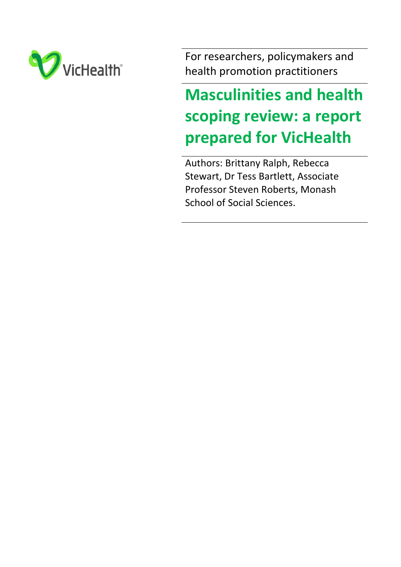

For researchers, policymakers and health promotion practitioners

# **Masculinities and health scoping review: a report prepared for VicHealth**

Authors: Brittany Ralph, Rebecca Stewart, Dr Tess Bartlett, Associate Professor Steven Roberts, Monash School of Social Sciences.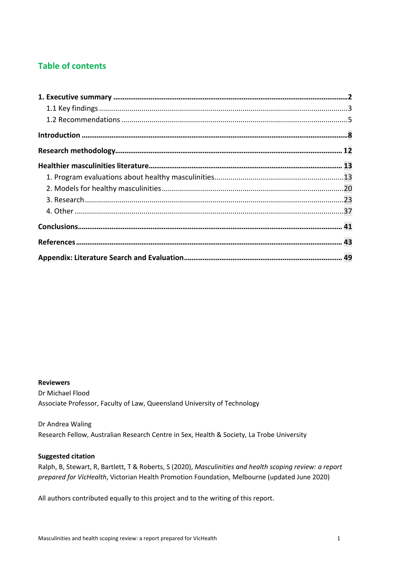# **Table of contents**

#### **Reviewers**

Dr Michael Flood Associate Professor, Faculty of Law, Queensland University of Technology

#### Dr Andrea Waling

Research Fellow, Australian Research Centre in Sex, Health & Society, La Trobe University

### **Suggested citation**

Ralph, B, Stewart, R, Bartlett, T & Roberts, S (2020), *Masculinities and health scoping review: a report prepared for VicHealth*, Victorian Health Promotion Foundation, Melbourne (updated June 2020)

All authors contributed equally to this project and to the writing of this report.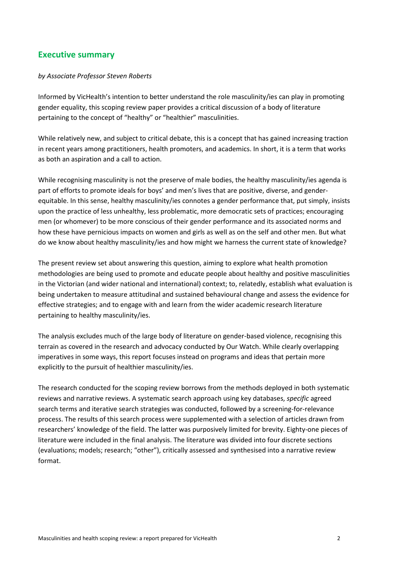# **Executive summary**

#### *by Associate Professor Steven Roberts*

Informed by VicHealth's intention to better understand the role masculinity/ies can play in promoting gender equality, this scoping review paper provides a critical discussion of a body of literature pertaining to the concept of "healthy" or "healthier" masculinities.

While relatively new, and subject to critical debate, this is a concept that has gained increasing traction in recent years among practitioners, health promoters, and academics. In short, it is a term that works as both an aspiration and a call to action.

While recognising masculinity is not the preserve of male bodies, the healthy masculinity/ies agenda is part of efforts to promote ideals for boys' and men's lives that are positive, diverse, and genderequitable. In this sense, healthy masculinity/ies connotes a gender performance that, put simply, insists upon the practice of less unhealthy, less problematic, more democratic sets of practices; encouraging men (or whomever) to be more conscious of their gender performance and its associated norms and how these have pernicious impacts on women and girls as well as on the self and other men. But what do we know about healthy masculinity/ies and how might we harness the current state of knowledge?

The present review set about answering this question, aiming to explore what health promotion methodologies are being used to promote and educate people about healthy and positive masculinities in the Victorian (and wider national and international) context; to, relatedly, establish what evaluation is being undertaken to measure attitudinal and sustained behavioural change and assess the evidence for effective strategies; and to engage with and learn from the wider academic research literature pertaining to healthy masculinity/ies.

The analysis excludes much of the large body of literature on gender-based violence, recognising this terrain as covered in the research and advocacy conducted by Our Watch. While clearly overlapping imperatives in some ways, this report focuses instead on programs and ideas that pertain more explicitly to the pursuit of healthier masculinity/ies.

The research conducted for the scoping review borrows from the methods deployed in both systematic reviews and narrative reviews. A systematic search approach using key databases, *specific* agreed search terms and iterative search strategies was conducted, followed by a screening-for-relevance process. The results of this search process were supplemented with a selection of articles drawn from researchers' knowledge of the field. The latter was purposively limited for brevity. Eighty-one pieces of literature were included in the final analysis. The literature was divided into four discrete sections (evaluations; models; research; "other"), critically assessed and synthesised into a narrative review format.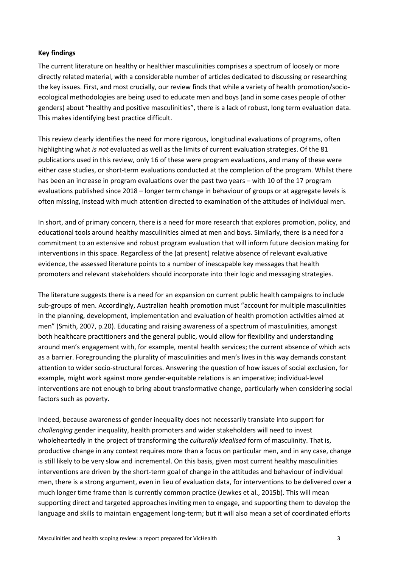#### **Key findings**

The current literature on healthy or healthier masculinities comprises a spectrum of loosely or more directly related material, with a considerable number of articles dedicated to discussing or researching the key issues. First, and most crucially, our review finds that while a variety of health promotion/socioecological methodologies are being used to educate men and boys (and in some cases people of other genders) about "healthy and positive masculinities", there is a lack of robust, long term evaluation data. This makes identifying best practice difficult.

This review clearly identifies the need for more rigorous, longitudinal evaluations of programs, often highlighting what *is not* evaluated as well as the limits of current evaluation strategies. Of the 81 publications used in this review, only 16 of these were program evaluations, and many of these were either case studies, or short-term evaluations conducted at the completion of the program. Whilst there has been an increase in program evaluations over the past two years – with 10 of the 17 program evaluations published since 2018 – longer term change in behaviour of groups or at aggregate levels is often missing, instead with much attention directed to examination of the attitudes of individual men.

In short, and of primary concern, there is a need for more research that explores promotion, policy, and educational tools around healthy masculinities aimed at men and boys. Similarly, there is a need for a commitment to an extensive and robust program evaluation that will inform future decision making for interventions in this space. Regardless of the (at present) relative absence of relevant evaluative evidence, the assessed literature points to a number of inescapable key messages that health promoters and relevant stakeholders should incorporate into their logic and messaging strategies.

The literature suggests there is a need for an expansion on current public health campaigns to include sub-groups of men. Accordingly, Australian health promotion must "account for multiple masculinities in the planning, development, implementation and evaluation of health promotion activities aimed at men" (Smith, 2007, p.20). Educating and raising awareness of a spectrum of masculinities, amongst both healthcare practitioners and the general public, would allow for flexibility and understanding around men's engagement with, for example, mental health services; the current absence of which acts as a barrier. Foregrounding the plurality of masculinities and men's lives in this way demands constant attention to wider socio-structural forces. Answering the question of how issues of social exclusion, for example, might work against more gender-equitable relations is an imperative; individual-level interventions are not enough to bring about transformative change, particularly when considering social factors such as poverty.

Indeed, because awareness of gender inequality does not necessarily translate into support for *challenging* gender inequality, health promoters and wider stakeholders will need to invest wholeheartedly in the project of transforming the *culturally idealised* form of masculinity. That is, productive change in any context requires more than a focus on particular men, and in any case, change is still likely to be very slow and incremental. On this basis, given most current healthy masculinities interventions are driven by the short-term goal of change in the attitudes and behaviour of individual men, there is a strong argument, even in lieu of evaluation data, for interventions to be delivered over a much longer time frame than is currently common practice (Jewkes et al., 2015b). This will mean supporting direct and targeted approaches inviting men to engage, and supporting them to develop the language and skills to maintain engagement long-term; but it will also mean a set of coordinated efforts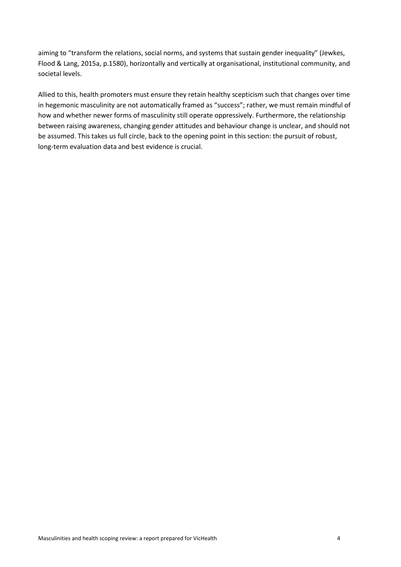aiming to "transform the relations, social norms, and systems that sustain gender inequality" (Jewkes, Flood & Lang, 2015a, p.1580), horizontally and vertically at organisational, institutional community, and societal levels.

Allied to this, health promoters must ensure they retain healthy scepticism such that changes over time in hegemonic masculinity are not automatically framed as "success"; rather, we must remain mindful of how and whether newer forms of masculinity still operate oppressively. Furthermore, the relationship between raising awareness, changing gender attitudes and behaviour change is unclear, and should not be assumed. This takes us full circle, back to the opening point in this section: the pursuit of robust, long-term evaluation data and best evidence is crucial.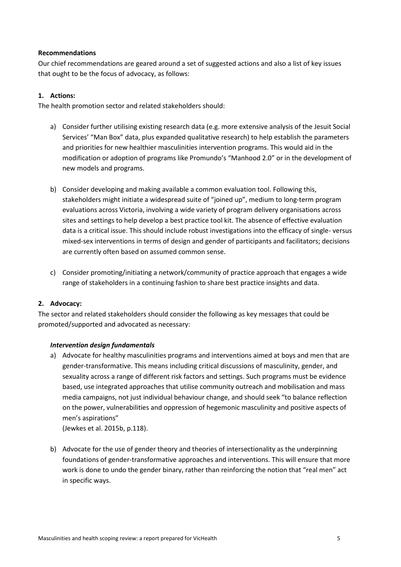#### **Recommendations**

Our chief recommendations are geared around a set of suggested actions and also a list of key issues that ought to be the focus of advocacy, as follows:

## **1. Actions:**

The health promotion sector and related stakeholders should:

- a) Consider further utilising existing research data (e.g. more extensive analysis of the Jesuit Social Services' "Man Box" data, plus expanded qualitative research) to help establish the parameters and priorities for new healthier masculinities intervention programs. This would aid in the modification or adoption of programs like Promundo's "Manhood 2.0" or in the development of new models and programs.
- b) Consider developing and making available a common evaluation tool. Following this, stakeholders might initiate a widespread suite of "joined up", medium to long-term program evaluations across Victoria, involving a wide variety of program delivery organisations across sites and settings to help develop a best practice tool kit. The absence of effective evaluation data is a critical issue. This should include robust investigations into the efficacy of single- versus mixed-sex interventions in terms of design and gender of participants and facilitators; decisions are currently often based on assumed common sense.
- c) Consider promoting/initiating a network/community of practice approach that engages a wide range of stakeholders in a continuing fashion to share best practice insights and data.

## **2. Advocacy:**

The sector and related stakeholders should consider the following as key messages that could be promoted/supported and advocated as necessary:

#### *Intervention design fundamentals*

a) Advocate for healthy masculinities programs and interventions aimed at boys and men that are gender-transformative. This means including critical discussions of masculinity, gender, and sexuality across a range of different risk factors and settings. Such programs must be evidence based, use integrated approaches that utilise community outreach and mobilisation and mass media campaigns, not just individual behaviour change, and should seek "to balance reflection on the power, vulnerabilities and oppression of hegemonic masculinity and positive aspects of men's aspirations"

(Jewkes et al. 2015b, p.118).

b) Advocate for the use of gender theory and theories of intersectionality as the underpinning foundations of gender-transformative approaches and interventions. This will ensure that more work is done to undo the gender binary, rather than reinforcing the notion that "real men" act in specific ways.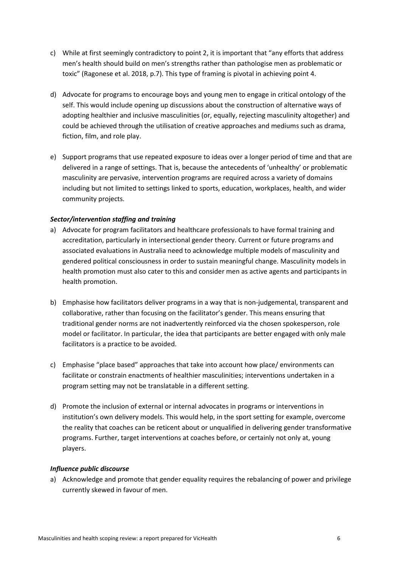- c) While at first seemingly contradictory to point 2, it is important that "any efforts that address men's health should build on men's strengths rather than pathologise men as problematic or toxic" (Ragonese et al. 2018, p.7). This type of framing is pivotal in achieving point 4.
- d) Advocate for programs to encourage boys and young men to engage in critical ontology of the self. This would include opening up discussions about the construction of alternative ways of adopting healthier and inclusive masculinities (or, equally, rejecting masculinity altogether) and could be achieved through the utilisation of creative approaches and mediums such as drama, fiction, film, and role play.
- e) Support programs that use repeated exposure to ideas over a longer period of time and that are delivered in a range of settings. That is, because the antecedents of 'unhealthy' or problematic masculinity are pervasive, intervention programs are required across a variety of domains including but not limited to settings linked to sports, education, workplaces, health, and wider community projects.

### *Sector/intervention staffing and training*

- a) Advocate for program facilitators and healthcare professionals to have formal training and accreditation, particularly in intersectional gender theory. Current or future programs and associated evaluations in Australia need to acknowledge multiple models of masculinity and gendered political consciousness in order to sustain meaningful change. Masculinity models in health promotion must also cater to this and consider men as active agents and participants in health promotion.
- b) Emphasise how facilitators deliver programs in a way that is non-judgemental, transparent and collaborative, rather than focusing on the facilitator's gender. This means ensuring that traditional gender norms are not inadvertently reinforced via the chosen spokesperson, role model or facilitator. In particular, the idea that participants are better engaged with only male facilitators is a practice to be avoided.
- c) Emphasise "place based" approaches that take into account how place/ environments can facilitate or constrain enactments of healthier masculinities; interventions undertaken in a program setting may not be translatable in a different setting.
- d) Promote the inclusion of external or internal advocates in programs or interventions in institution's own delivery models. This would help, in the sport setting for example, overcome the reality that coaches can be reticent about or unqualified in delivering gender transformative programs. Further, target interventions at coaches before, or certainly not only at, young players.

#### *Influence public discourse*

a) Acknowledge and promote that gender equality requires the rebalancing of power and privilege currently skewed in favour of men.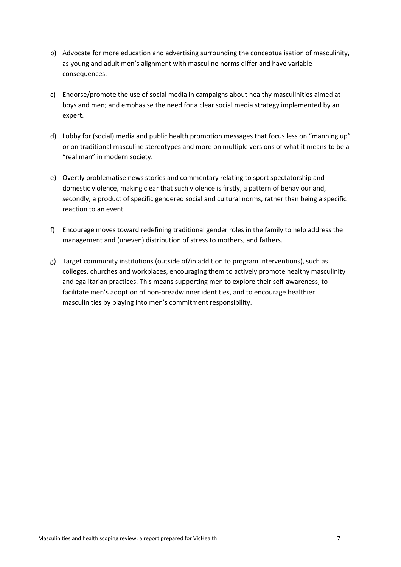- b) Advocate for more education and advertising surrounding the conceptualisation of masculinity, as young and adult men's alignment with masculine norms differ and have variable consequences.
- c) Endorse/promote the use of social media in campaigns about healthy masculinities aimed at boys and men; and emphasise the need for a clear social media strategy implemented by an expert.
- d) Lobby for (social) media and public health promotion messages that focus less on "manning up" or on traditional masculine stereotypes and more on multiple versions of what it means to be a "real man" in modern society.
- e) Overtly problematise news stories and commentary relating to sport spectatorship and domestic violence, making clear that such violence is firstly, a pattern of behaviour and, secondly, a product of specific gendered social and cultural norms, rather than being a specific reaction to an event.
- f) Encourage moves toward redefining traditional gender roles in the family to help address the management and (uneven) distribution of stress to mothers, and fathers.
- g) Target community institutions (outside of/in addition to program interventions), such as colleges, churches and workplaces, encouraging them to actively promote healthy masculinity and egalitarian practices. This means supporting men to explore their self-awareness, to facilitate men's adoption of non-breadwinner identities, and to encourage healthier masculinities by playing into men's commitment responsibility.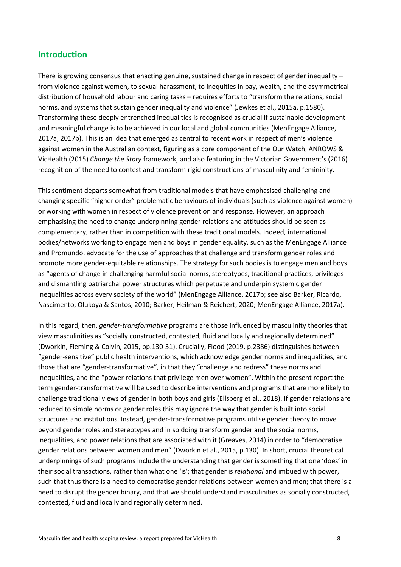## **Introduction**

There is growing consensus that enacting genuine, sustained change in respect of gender inequality – from violence against women, to sexual harassment, to inequities in pay, wealth, and the asymmetrical distribution of household labour and caring tasks – requires efforts to "transform the relations, social norms, and systems that sustain gender inequality and violence" (Jewkes et al., 2015a, p.1580). Transforming these deeply entrenched inequalities is recognised as crucial if sustainable development and meaningful change is to be achieved in our local and global communities (MenEngage Alliance, 2017a, 2017b). This is an idea that emerged as central to recent work in respect of men's violence against women in the Australian context, figuring as a core component of the Our Watch, ANROWS & VicHealth (2015) *Change the Story* framework, and also featuring in the Victorian Government's (2016) recognition of the need to contest and transform rigid constructions of masculinity and femininity.

This sentiment departs somewhat from traditional models that have emphasised challenging and changing specific "higher order" problematic behaviours of individuals (such as violence against women) or working with women in respect of violence prevention and response. However, an approach emphasising the need to change underpinning gender relations and attitudes should be seen as complementary, rather than in competition with these traditional models. Indeed, international bodies/networks working to engage men and boys in gender equality, such as the MenEngage Alliance and Promundo, advocate for the use of approaches that challenge and transform gender roles and promote more gender-equitable relationships. The strategy for such bodies is to engage men and boys as "agents of change in challenging harmful social norms, stereotypes, traditional practices, privileges and dismantling patriarchal power structures which perpetuate and underpin systemic gender inequalities across every society of the world" (MenEngage Alliance, 2017b; see also Barker, Ricardo, Nascimento, Olukoya & Santos, 2010; Barker, Heilman & Reichert, 2020; MenEngage Alliance, 2017a).

In this regard, then, *gender-transformative* programs are those influenced by masculinity theories that view masculinities as "socially constructed, contested, fluid and locally and regionally determined" (Dworkin, Fleming & Colvin, 2015, pp.130-31). Crucially, Flood (2019, p.2386) distinguishes between "gender-sensitive" public health interventions, which acknowledge gender norms and inequalities, and those that are "gender-transformative", in that they "challenge and redress" these norms and inequalities, and the "power relations that privilege men over women". Within the present report the term gender-transformative will be used to describe interventions and programs that are more likely to challenge traditional views of gender in both boys and girls (Ellsberg et al., 2018). If gender relations are reduced to simple norms or gender roles this may ignore the way that gender is built into social structures and institutions. Instead, gender-transformative programs utilise gender theory to move beyond gender roles and stereotypes and in so doing transform gender and the social norms, inequalities, and power relations that are associated with it (Greaves, 2014) in order to "democratise gender relations between women and men" (Dworkin et al., 2015, p.130). In short, crucial theoretical underpinnings of such programs include the understanding that gender is something that one 'does' in their social transactions, rather than what one 'is'; that gender is *relational* and imbued with power, such that thus there is a need to democratise gender relations between women and men; that there is a need to disrupt the gender binary, and that we should understand masculinities as socially constructed, contested, fluid and locally and regionally determined.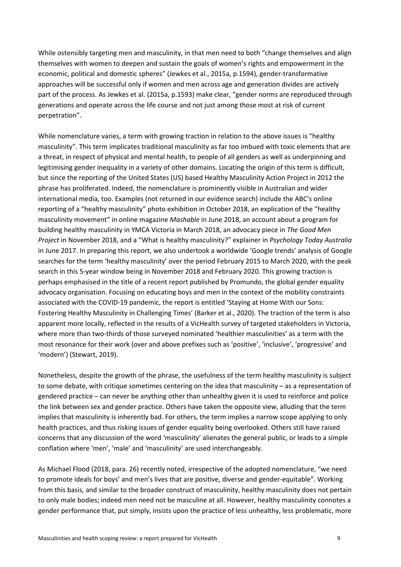While ostensibly targeting men and masculinity, in that men need to both "change themselves and align themselves with women to deepen and sustain the goals of women's rights and empowerment in the economic, political and domestic spheres" (Jewkes et al., 2015a, p.1594), gender-transformative approaches will be successful only if women and men across age and generation divides are actively part of the process. As Jewkes et al. (2015a, p.1593) make clear, "gender norms are reproduced through generations and operate across the life course and not just among those most at risk of current perpetration".

While nomenclature varies, a term with growing traction in relation to the above issues is "healthy masculinity". This term implicates traditional masculinity as far too imbued with toxic elements that are a threat, in respect of physical and mental health, to people of all genders as well as underpinning and legitimising gender inequality in a variety of other domains. Locating the origin of this term is difficult, but since the reporting of the United States (US) based Healthy Masculinity Action Project in 2012 the phrase has proliferated. Indeed, the nomenclature is prominently visible in Australian and wider international media, too. Examples (not returned in our evidence search) include the ABC's online reporting of a "healthy masculinity" photo exhibition in October 2018, an explication of the "healthy masculinity movement" in online magazine *Mashable* in June 2018, an account about a program for building healthy masculinity in YMCA Victoria in March 2018, an advocacy piece in *The Good Men Project* in November 2018, and a "What is healthy masculinity?" explainer in *Psychology Today Australia* in June 2017. In preparing this report, we also undertook a worldwide 'Google trends' analysis of Google searches for the term 'healthy masculinity' over the period February 2015 to March 2020, with the peak search in this 5-year window being in November 2018 and February 2020. This growing traction is perhaps emphasised in the title of a recent report published by Promundo, the global gender equality advocacy organisation. Focusing on educating boys and men in the context of the mobility constraints associated with the COVID-19 pandemic, the report is entitled 'Staying at Home With our Sons: Fostering Healthy Masculinity in Challenging Times' (Barker et al., 2020). The traction of the term is also apparent more locally, reflected in the results of a VicHealth survey of targeted stakeholders in Victoria, where more than two-thirds of those surveyed nominated 'healthier masculinities' as a term with the most resonance for their work (over and above prefixes such as 'positive', 'inclusive', 'progressive' and 'modern') (Stewart, 2019).

Nonetheless, despite the growth of the phrase, the usefulness of the term healthy masculinity is subject to some debate, with critique sometimes centering on the idea that masculinity – as a representation of gendered practice – can never be anything other than unhealthy given it is used to reinforce and police the link between sex and gender practice. Others have taken the opposite view, alluding that the term implies that masculinity is inherently bad. For others, the term implies a narrow scope applying to only health practices, and thus risking issues of gender equality being overlooked. Others still have raised concerns that any discussion of the word 'masculinity' alienates the general public, or leads to a simple conflation where 'men', 'male' and 'masculinity' are used interchangeably.

As Michael Flood (2018, para. 26) recently noted, irrespective of the adopted nomenclature, "we need to promote ideals for boys' and men's lives that are positive, diverse and gender-equitable". Working from this basis, and similar to the broader construct of masculinity, healthy masculinity does not pertain to only male bodies; indeed men need not be masculine at all. However, healthy masculinity connotes a gender performance that, put simply, insists upon the practice of less unhealthy, less problematic, more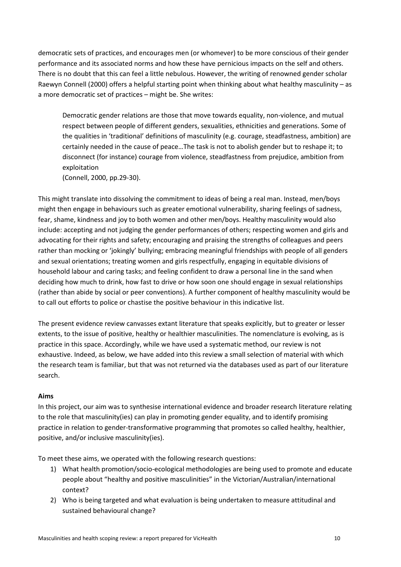democratic sets of practices, and encourages men (or whomever) to be more conscious of their gender performance and its associated norms and how these have pernicious impacts on the self and others. There is no doubt that this can feel a little nebulous. However, the writing of renowned gender scholar Raewyn Connell (2000) offers a helpful starting point when thinking about what healthy masculinity – as a more democratic set of practices – might be. She writes:

Democratic gender relations are those that move towards equality, non-violence, and mutual respect between people of different genders, sexualities, ethnicities and generations. Some of the qualities in 'traditional' definitions of masculinity (e.g. courage, steadfastness, ambition) are certainly needed in the cause of peace…The task is not to abolish gender but to reshape it; to disconnect (for instance) courage from violence, steadfastness from prejudice, ambition from exploitation

(Connell, 2000, pp.29-30).

This might translate into dissolving the commitment to ideas of being a real man. Instead, men/boys might then engage in behaviours such as greater emotional vulnerability, sharing feelings of sadness, fear, shame, kindness and joy to both women and other men/boys. Healthy masculinity would also include: accepting and not judging the gender performances of others; respecting women and girls and advocating for their rights and safety; encouraging and praising the strengths of colleagues and peers rather than mocking or 'jokingly' bullying; embracing meaningful friendships with people of all genders and sexual orientations; treating women and girls respectfully, engaging in equitable divisions of household labour and caring tasks; and feeling confident to draw a personal line in the sand when deciding how much to drink, how fast to drive or how soon one should engage in sexual relationships (rather than abide by social or peer conventions). A further component of healthy masculinity would be to call out efforts to police or chastise the positive behaviour in this indicative list.

The present evidence review canvasses extant literature that speaks explicitly, but to greater or lesser extents, to the issue of positive, healthy or healthier masculinities. The nomenclature is evolving, as is practice in this space. Accordingly, while we have used a systematic method, our review is not exhaustive. Indeed, as below, we have added into this review a small selection of material with which the research team is familiar, but that was not returned via the databases used as part of our literature search.

## **Aims**

In this project, our aim was to synthesise international evidence and broader research literature relating to the role that masculinity(ies) can play in promoting gender equality, and to identify promising practice in relation to gender-transformative programming that promotes so called healthy, healthier, positive, and/or inclusive masculinity(ies).

To meet these aims, we operated with the following research questions:

- 1) What health promotion/socio-ecological methodologies are being used to promote and educate people about "healthy and positive masculinities" in the Victorian/Australian/international context?
- 2) Who is being targeted and what evaluation is being undertaken to measure attitudinal and sustained behavioural change?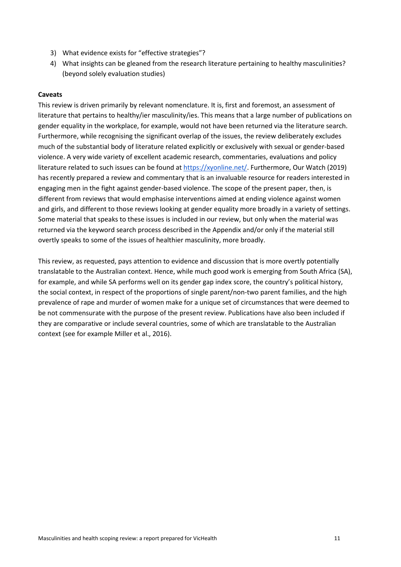- 3) What evidence exists for "effective strategies"?
- 4) What insights can be gleaned from the research literature pertaining to healthy masculinities? (beyond solely evaluation studies)

#### **Caveats**

This review is driven primarily by relevant nomenclature. It is, first and foremost, an assessment of literature that pertains to healthy/ier masculinity/ies. This means that a large number of publications on gender equality in the workplace, for example, would not have been returned via the literature search. Furthermore, while recognising the significant overlap of the issues, the review deliberately excludes much of the substantial body of literature related explicitly or exclusively with sexual or gender-based violence. A very wide variety of excellent academic research, commentaries, evaluations and policy literature related to such issues can be found at [https://xyonline.net/.](https://xyonline.net/) Furthermore, Our Watch (2019) has recently prepared a review and commentary that is an invaluable resource for readers interested in engaging men in the fight against gender-based violence. The scope of the present paper, then, is different from reviews that would emphasise interventions aimed at ending violence against women and girls, and different to those reviews looking at gender equality more broadly in a variety of settings. Some material that speaks to these issues is included in our review, but only when the material was returned via the keyword search process described in the Appendix and/or only if the material still overtly speaks to some of the issues of healthier masculinity, more broadly.

This review, as requested, pays attention to evidence and discussion that is more overtly potentially translatable to the Australian context. Hence, while much good work is emerging from South Africa (SA), for example, and while SA performs well on its gender gap index score, the country's political history, the social context, in respect of the proportions of single parent/non-two parent families, and the high prevalence of rape and murder of women make for a unique set of circumstances that were deemed to be not commensurate with the purpose of the present review. Publications have also been included if they are comparative or include several countries, some of which are translatable to the Australian context (see for example Miller et al., 2016).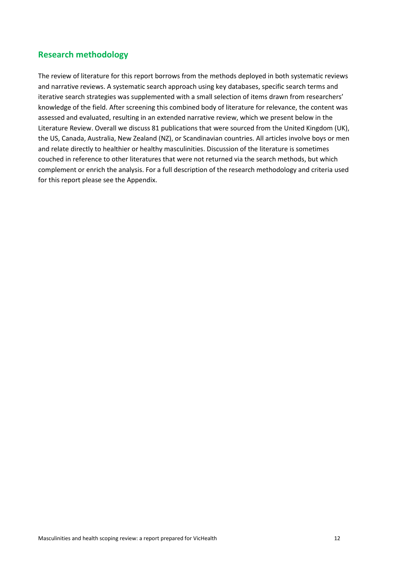# **Research methodology**

The review of literature for this report borrows from the methods deployed in both systematic reviews and narrative reviews. A systematic search approach using key databases, specific search terms and iterative search strategies was supplemented with a small selection of items drawn from researchers' knowledge of the field. After screening this combined body of literature for relevance, the content was assessed and evaluated, resulting in an extended narrative review, which we present below in the Literature Review. Overall we discuss 81 publications that were sourced from the United Kingdom (UK), the US, Canada, Australia, New Zealand (NZ), or Scandinavian countries. All articles involve boys or men and relate directly to healthier or healthy masculinities. Discussion of the literature is sometimes couched in reference to other literatures that were not returned via the search methods, but which complement or enrich the analysis. For a full description of the research methodology and criteria used for this report please see the Appendix.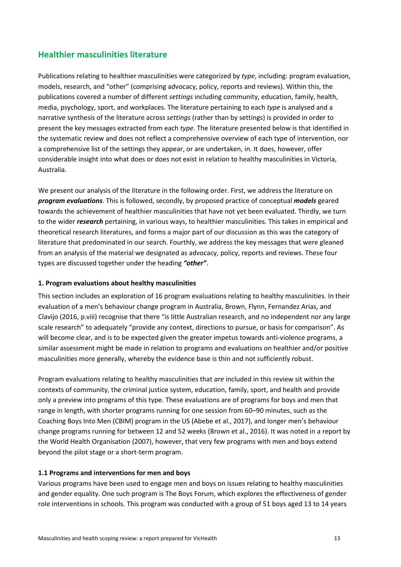# **Healthier masculinities literature**

Publications relating to healthier masculinities were categorized by *type*, including: program evaluation, models, research, and "other" (comprising advocacy, policy, reports and reviews). Within this, the publications covered a number of different *settings* including community, education, family, health, media, psychology, sport, and workplaces. The literature pertaining to each *type* is analysed and a narrative synthesis of the literature across *settings* (rather than by settings) is provided in order to present the key messages extracted from each *type*. The literature presented below is that identified in the systematic review and does not reflect a comprehensive overview of each type of intervention, nor a comprehensive list of the settings they appear, or are undertaken, in. It does, however, offer considerable insight into what does or does not exist in relation to healthy masculinities in Victoria, Australia.

We present our analysis of the literature in the following order. First, we address the literature on *program evaluations*. This is followed, secondly, by proposed practice of conceptual *models* geared towards the achievement of healthier masculinities that have not yet been evaluated. Thirdly, we turn to the wider *research* pertaining, in various ways, to healthier masculinities. This takes in empirical and theoretical research literatures, and forms a major part of our discussion as this was the category of literature that predominated in our search. Fourthly, we address the key messages that were gleaned from an analysis of the material we designated as advocacy, policy, reports and reviews. These four types are discussed together under the heading *"other"*.

### **1. Program evaluations about healthy masculinities**

This section includes an exploration of 16 program evaluations relating to healthy masculinities. In their evaluation of a men's behaviour change program in Australia, Brown, Flynn, Fernandez Arias, and Clavijo (2016, p.viii) recognise that there "is little Australian research, and no independent nor any large scale research" to adequately "provide any context, directions to pursue, or basis for comparison". As will become clear, and is to be expected given the greater impetus towards anti-violence programs, a similar assessment might be made in relation to programs and evaluations on healthier and/or positive masculinities more generally, whereby the evidence base is thin and not sufficiently robust.

Program evaluations relating to healthy masculinities that *are* included in this review sit within the contexts of community, the criminal justice system, education, family, sport, and health and provide only a preview into programs of this type. These evaluations are of programs for boys and men that range in length, with shorter programs running for one session from 60–90 minutes, such as the Coaching Boys Into Men (CBIM) program in the US (Abebe et al., 2017), and longer men's behaviour change programs running for between 12 and 52 weeks (Brown et al., 2016). It was noted in a report by the World Health Organisation (2007), however, that very few programs with men and boys extend beyond the pilot stage or a short-term program.

#### **1.1 Programs and interventions for men and boys**

Various programs have been used to engage men and boys on issues relating to healthy masculinities and gender equality. One such program is The Boys Forum, which explores the effectiveness of gender role interventions in schools. This program was conducted with a group of 51 boys aged 13 to 14 years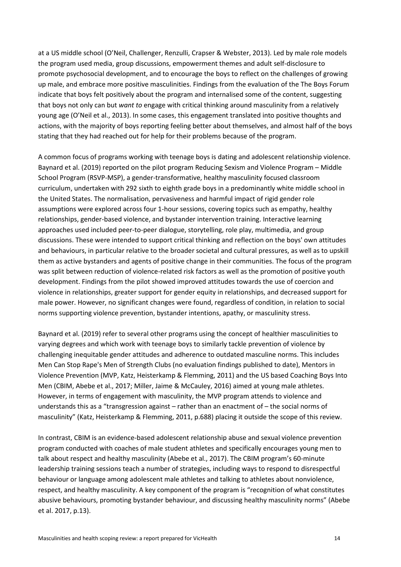at a US middle school (O'Neil, Challenger, Renzulli, Crapser & Webster, 2013). Led by male role models the program used media, group discussions, empowerment themes and adult self-disclosure to promote psychosocial development, and to encourage the boys to reflect on the challenges of growing up male, and embrace more positive masculinities. Findings from the evaluation of the The Boys Forum indicate that boys felt positively about the program and internalised some of the content, suggesting that boys not only can but *want to* engage with critical thinking around masculinity from a relatively young age (O'Neil et al., 2013). In some cases, this engagement translated into positive thoughts and actions, with the majority of boys reporting feeling better about themselves, and almost half of the boys stating that they had reached out for help for their problems because of the program.

A common focus of programs working with teenage boys is dating and adolescent relationship violence. Baynard et al. (2019) reported on the pilot program Reducing Sexism and Violence Program – Middle School Program (RSVP-MSP), a gender-transformative, healthy masculinity focused classroom curriculum, undertaken with 292 sixth to eighth grade boys in a predominantly white middle school in the United States. The normalisation, pervasiveness and harmful impact of rigid gender role assumptions were explored across four 1-hour sessions, covering topics such as empathy, healthy relationships, gender-based violence, and bystander intervention training. Interactive learning approaches used included peer-to-peer dialogue, storytelling, role play, multimedia, and group discussions. These were intended to support critical thinking and reflection on the boys' own attitudes and behaviours, in particular relative to the broader societal and cultural pressures, as well as to upskill them as active bystanders and agents of positive change in their communities. The focus of the program was split between reduction of violence-related risk factors as well as the promotion of positive youth development. Findings from the pilot showed improved attitudes towards the use of coercion and violence in relationships, greater support for gender equity in relationships, and decreased support for male power. However, no significant changes were found, regardless of condition, in relation to social norms supporting violence prevention, bystander intentions, apathy, or masculinity stress.

Baynard et al. (2019) refer to several other programs using the concept of healthier masculinities to varying degrees and which work with teenage boys to similarly tackle prevention of violence by challenging inequitable gender attitudes and adherence to outdated masculine norms. This includes Men Can Stop Rape's Men of Strength Clubs (no evaluation findings published to date), Mentors in Violence Prevention (MVP, Katz, Heisterkamp & Flemming, 2011) and the US based Coaching Boys Into Men (CBIM, Abebe et al., 2017; Miller, Jaime & McCauley, 2016) aimed at young male athletes. However, in terms of engagement with masculinity, the MVP program attends to violence and understands this as a "transgression against – rather than an enactment of – the social norms of masculinity" (Katz, Heisterkamp & Flemming, 2011, p.688) placing it outside the scope of this review.

In contrast, CBIM is an evidence-based adolescent relationship abuse and sexual violence prevention program conducted with coaches of male student athletes and specifically encourages young men to talk about respect and healthy masculinity (Abebe et al., 2017). The CBIM program's 60-minute leadership training sessions teach a number of strategies, including ways to respond to disrespectful behaviour or language among adolescent male athletes and talking to athletes about nonviolence, respect, and healthy masculinity. A key component of the program is "recognition of what constitutes abusive behaviours, promoting bystander behaviour, and discussing healthy masculinity norms" (Abebe et al. 2017, p.13).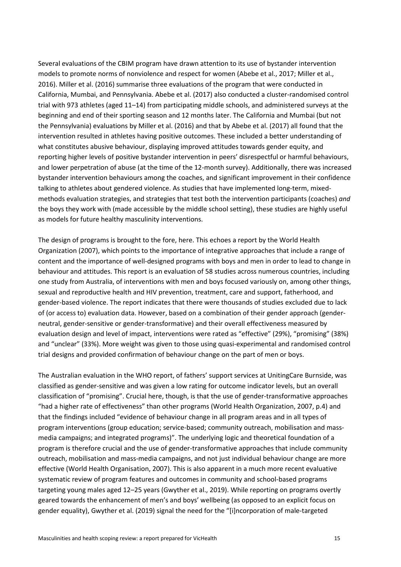Several evaluations of the CBIM program have drawn attention to its use of bystander intervention models to promote norms of nonviolence and respect for women (Abebe et al., 2017; Miller et al., 2016). Miller et al. (2016) summarise three evaluations of the program that were conducted in California, Mumbai, and Pennsylvania. Abebe et al. (2017) also conducted a cluster-randomised control trial with 973 athletes (aged 11–14) from participating middle schools, and administered surveys at the beginning and end of their sporting season and 12 months later. The California and Mumbai (but not the Pennsylvania) evaluations by Miller et al. (2016) and that by Abebe et al. (2017) all found that the intervention resulted in athletes having positive outcomes. These included a better understanding of what constitutes abusive behaviour, displaying improved attitudes towards gender equity, and reporting higher levels of positive bystander intervention in peers' disrespectful or harmful behaviours, and lower perpetration of abuse (at the time of the 12-month survey). Additionally, there was increased bystander intervention behaviours among the coaches, and significant improvement in their confidence talking to athletes about gendered violence. As studies that have implemented long-term, mixedmethods evaluation strategies, and strategies that test both the intervention participants (coaches) *and*  the boys they work with (made accessible by the middle school setting), these studies are highly useful as models for future healthy masculinity interventions.

The design of programs is brought to the fore, here. This echoes a report by the World Health Organization (2007), which points to the importance of integrative approaches that include a range of content and the importance of well-designed programs with boys and men in order to lead to change in behaviour and attitudes. This report is an evaluation of 58 studies across numerous countries, including one study from Australia, of interventions with men and boys focused variously on, among other things, sexual and reproductive health and HIV prevention, treatment, care and support, fatherhood, and gender-based violence. The report indicates that there were thousands of studies excluded due to lack of (or access to) evaluation data. However, based on a combination of their gender approach (genderneutral, gender-sensitive or gender-transformative) and their overall effectiveness measured by evaluation design and level of impact, interventions were rated as "effective" (29%), "promising" (38%) and "unclear" (33%). More weight was given to those using quasi-experimental and randomised control trial designs and provided confirmation of behaviour change on the part of men or boys.

The Australian evaluation in the WHO report, of fathers' support services at UnitingCare Burnside, was classified as gender-sensitive and was given a low rating for outcome indicator levels, but an overall classification of "promising". Crucial here, though, is that the use of gender-transformative approaches "had a higher rate of effectiveness" than other programs (World Health Organization, 2007, p.4) and that the findings included "evidence of behaviour change in all program areas and in all types of program interventions (group education; service-based; community outreach, mobilisation and massmedia campaigns; and integrated programs)". The underlying logic and theoretical foundation of a program is therefore crucial and the use of gender-transformative approaches that include community outreach, mobilisation and mass-media campaigns, and not just individual behaviour change are more effective (World Health Organisation, 2007). This is also apparent in a much more recent evaluative systematic review of program features and outcomes in community and school-based programs targeting young males aged 12–25 years (Gwyther et al., 2019). While reporting on programs overtly geared towards the enhancement of men's and boys' wellbeing (as opposed to an explicit focus on gender equality), Gwyther et al. (2019) signal the need for the "[i]ncorporation of male-targeted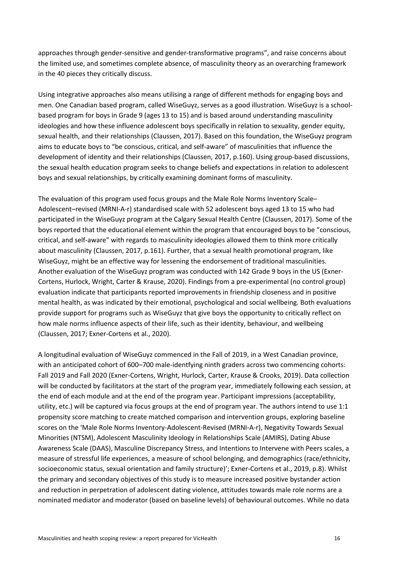approaches through gender-sensitive and gender-transformative programs", and raise concerns about the limited use, and sometimes complete absence, of masculinity theory as an overarching framework in the 40 pieces they critically discuss.

Using integrative approaches also means utilising a range of different methods for engaging boys and men. One Canadian based program, called WiseGuyz, serves as a good illustration. WiseGuyz is a schoolbased program for boys in Grade 9 (ages 13 to 15) and is based around understanding masculinity ideologies and how these influence adolescent boys specifically in relation to sexuality, gender equity, sexual health, and their relationships (Claussen, 2017). Based on this foundation, the WiseGuyz program aims to educate boys to "be conscious, critical, and self-aware" of masculinities that influence the development of identity and their relationships (Claussen, 2017, p.160). Using group-based discussions, the sexual health education program seeks to change beliefs and expectations in relation to adolescent boys and sexual relationships, by critically examining dominant forms of masculinity.

The evaluation of this program used focus groups and the Male Role Norms Inventory Scale– Adolescent–revised (MRNI-A-r) standardised scale with 52 adolescent boys aged 13 to 15 who had participated in the WiseGuyz program at the Calgary Sexual Health Centre (Claussen, 2017). Some of the boys reported that the educational element within the program that encouraged boys to be "conscious, critical, and self-aware" with regards to masculinity ideologies allowed them to think more critically about masculinity (Claussen, 2017, p.161). Further, that a sexual health promotional program, like WiseGuyz, might be an effective way for lessening the endorsement of traditional masculinities. Another evaluation of the WiseGuyz program was conducted with 142 Grade 9 boys in the US (Exner-Cortens, Hurlock, Wright, Carter & Krause, 2020). Findings from a pre-experimental (no control group) evaluation indicate that participants reported improvements in friendship closeness and in positive mental health, as was indicated by their emotional, psychological and social wellbeing. Both evaluations provide support for programs such as WiseGuyz that give boys the opportunity to critically reflect on how male norms influence aspects of their life, such as their identity, behaviour, and wellbeing (Claussen, 2017; Exner-Cortens et al., 2020).

A longitudinal evaluation of WiseGuyz commenced in the Fall of 2019, in a West Canadian province, with an anticipated cohort of 600–700 male-identfying ninth graders across two commencing cohorts: Fall 2019 and Fall 2020 (Exner-Cortens, Wright, Hurlock, Carter, Krause & Crooks, 2019). Data collection will be conducted by facilitators at the start of the program year, immediately following each session, at the end of each module and at the end of the program year. Participant impressions (acceptability, utility, etc.) will be captured via focus groups at the end of program year. The authors intend to use 1:1 propensity score matching to create matched comparison and intervention groups, exploring baseline scores on the 'Male Role Norms Inventory-Adolescent-Revised (MRNI-A-r), Negativity Towards Sexual Minorities (NTSM), Adolescent Masculinity Ideology in Relationships Scale (AMIRS), Dating Abuse Awareness Scale (DAAS), Masculine Discrepancy Stress, and Intentions to Intervene with Peers scales, a measure of stressful life experiences, a measure of school belonging, and demographics (race/ethnicity, socioeconomic status, sexual orientation and family structure)'; Exner-Cortens et al., 2019, p.8). Whilst the primary and secondary objectives of this study is to measure increased positive bystander action and reduction in perpetration of adolescent dating violence, attitudes towards male role norms are a nominated mediator and moderator (based on baseline levels) of behavioural outcomes. While no data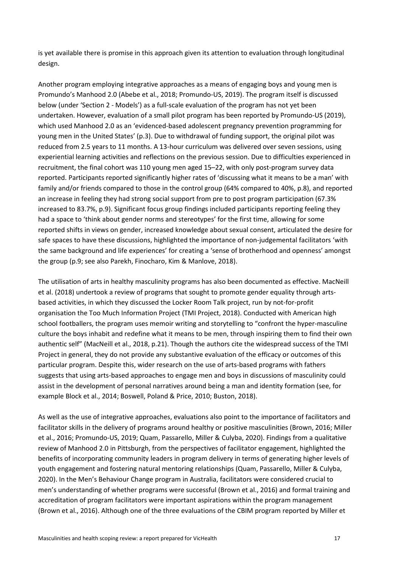is yet available there is promise in this approach given its attention to evaluation through longitudinal design.

Another program employing integrative approaches as a means of engaging boys and young men is Promundo's Manhood 2.0 (Abebe et al., 2018; Promundo-US, 2019). The program itself is discussed below (under 'Section 2 - Models') as a full-scale evaluation of the program has not yet been undertaken. However, evaluation of a small pilot program has been reported by Promundo-US (2019), which used Manhood 2.0 as an 'evidenced-based adolescent pregnancy prevention programming for young men in the United States' (p.3). Due to withdrawal of funding support, the original pilot was reduced from 2.5 years to 11 months. A 13-hour curriculum was delivered over seven sessions, using experiential learning activities and reflections on the previous session. Due to difficulties experienced in recruitment, the final cohort was 110 young men aged 15–22, with only post-program survey data reported. Participants reported significantly higher rates of 'discussing what it means to be a man' with family and/or friends compared to those in the control group (64% compared to 40%, p.8), and reported an increase in feeling they had strong social support from pre to post program participation (67.3% increased to 83.7%, p.9). Significant focus group findings included participants reporting feeling they had a space to 'think about gender norms and stereotypes' for the first time, allowing for some reported shifts in views on gender, increased knowledge about sexual consent, articulated the desire for safe spaces to have these discussions, highlighted the importance of non-judgemental facilitators 'with the same background and life experiences' for creating a 'sense of brotherhood and openness' amongst the group (p.9; see also Parekh, Finocharo, Kim & Manlove, 2018).

The utilisation of arts in healthy masculinity programs has also been documented as effective. MacNeill et al. (2018) undertook a review of programs that sought to promote gender equality through artsbased activities, in which they discussed the Locker Room Talk project, run by not-for-profit organisation the Too Much Information Project (TMI Project, 2018). Conducted with American high school footballers, the program uses memoir writing and storytelling to "confront the hyper-masculine culture the boys inhabit and redefine what it means to be men, through inspiring them to find their own authentic self" (MacNeill et al., 2018, p.21). Though the authors cite the widespread success of the TMI Project in general, they do not provide any substantive evaluation of the efficacy or outcomes of this particular program. Despite this, wider research on the use of arts-based programs with fathers suggests that using arts-based approaches to engage men and boys in discussions of masculinity could assist in the development of personal narratives around being a man and identity formation (see, for example Block et al., 2014; Boswell, Poland & Price, 2010; Buston, 2018).

As well as the use of integrative approaches, evaluations also point to the importance of facilitators and facilitator skills in the delivery of programs around healthy or positive masculinities (Brown, 2016; Miller et al., 2016; Promundo-US, 2019; Quam, Passarello, Miller & Culyba, 2020). Findings from a qualitative review of Manhood 2.0 in Pittsburgh, from the perspectives of facilitator engagement, highlighted the benefits of incorporating community leaders in program delivery in terms of generating higher levels of youth engagement and fostering natural mentoring relationships (Quam, Passarello, Miller & Culyba, 2020). In the Men's Behaviour Change program in Australia, facilitators were considered crucial to men's understanding of whether programs were successful (Brown et al., 2016) and formal training and accreditation of program facilitators were important aspirations within the program management (Brown et al., 2016). Although one of the three evaluations of the CBIM program reported by Miller et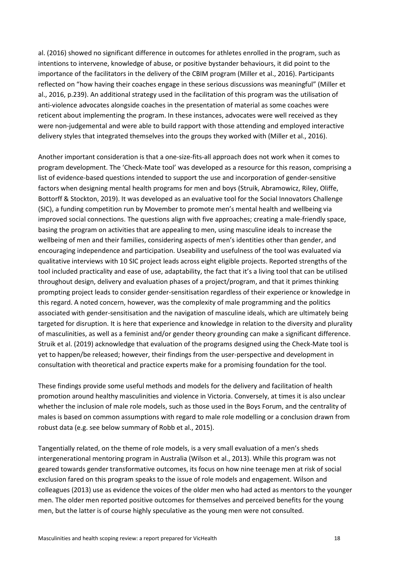al. (2016) showed no significant difference in outcomes for athletes enrolled in the program, such as intentions to intervene, knowledge of abuse, or positive bystander behaviours, it did point to the importance of the facilitators in the delivery of the CBIM program (Miller et al., 2016). Participants reflected on "how having their coaches engage in these serious discussions was meaningful" (Miller et al., 2016, p.239). An additional strategy used in the facilitation of this program was the utilisation of anti-violence advocates alongside coaches in the presentation of material as some coaches were reticent about implementing the program. In these instances, advocates were well received as they were non-judgemental and were able to build rapport with those attending and employed interactive delivery styles that integrated themselves into the groups they worked with (Miller et al., 2016).

Another important consideration is that a one-size-fits-all approach does not work when it comes to program development. The 'Check-Mate tool' was developed as a resource for this reason, comprising a list of evidence-based questions intended to support the use and incorporation of gender-sensitive factors when designing mental health programs for men and boys (Struik, Abramowicz, Riley, Oliffe, Bottorff & Stockton, 2019). It was developed as an evaluative tool for the Social Innovators Challenge (SIC), a funding competition run by Movember to promote men's mental health and wellbeing via improved social connections. The questions align with five approaches; creating a male-friendly space, basing the program on activities that are appealing to men, using masculine ideals to increase the wellbeing of men and their families, considering aspects of men's identities other than gender, and encouraging independence and participation. Useability and usefulness of the tool was evaluated via qualitative interviews with 10 SIC project leads across eight eligible projects. Reported strengths of the tool included practicality and ease of use, adaptability, the fact that it's a living tool that can be utilised throughout design, delivery and evaluation phases of a project/program, and that it primes thinking prompting project leads to consider gender-sensitisation regardless of their experience or knowledge in this regard. A noted concern, however, was the complexity of male programming and the politics associated with gender-sensitisation and the navigation of masculine ideals, which are ultimately being targeted for disruption. It is here that experience and knowledge in relation to the diversity and plurality of masculinities, as well as a feminist and/or gender theory grounding can make a significant difference. Struik et al. (2019) acknowledge that evaluation of the programs designed using the Check-Mate tool is yet to happen/be released; however, their findings from the user-perspective and development in consultation with theoretical and practice experts make for a promising foundation for the tool.

These findings provide some useful methods and models for the delivery and facilitation of health promotion around healthy masculinities and violence in Victoria. Conversely, at times it is also unclear whether the inclusion of male role models, such as those used in the Boys Forum, and the centrality of males is based on common assumptions with regard to male role modelling or a conclusion drawn from robust data (e.g. see below summary of Robb et al., 2015).

Tangentially related, on the theme of role models, is a very small evaluation of a men's sheds intergenerational mentoring program in Australia (Wilson et al., 2013). While this program was not geared towards gender transformative outcomes, its focus on how nine teenage men at risk of social exclusion fared on this program speaks to the issue of role models and engagement. Wilson and colleagues (2013) use as evidence the voices of the older men who had acted as mentors to the younger men. The older men reported positive outcomes for themselves and perceived benefits for the young men, but the latter is of course highly speculative as the young men were not consulted.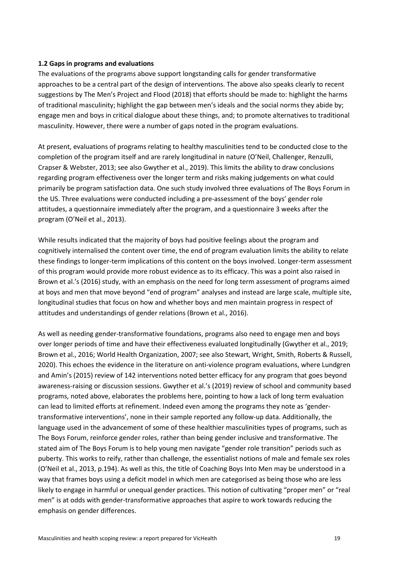#### **1.2 Gaps in programs and evaluations**

The evaluations of the programs above support longstanding calls for gender transformative approaches to be a central part of the design of interventions. The above also speaks clearly to recent suggestions by The Men's Project and Flood (2018) that efforts should be made to: highlight the harms of traditional masculinity; highlight the gap between men's ideals and the social norms they abide by; engage men and boys in critical dialogue about these things, and; to promote alternatives to traditional masculinity. However, there were a number of gaps noted in the program evaluations.

At present, evaluations of programs relating to healthy masculinities tend to be conducted close to the completion of the program itself and are rarely longitudinal in nature (O'Neil, Challenger, Renzulli, Crapser & Webster, 2013; see also Gwyther et al., 2019). This limits the ability to draw conclusions regarding program effectiveness over the longer term and risks making judgements on what could primarily be program satisfaction data. One such study involved three evaluations of The Boys Forum in the US. Three evaluations were conducted including a pre-assessment of the boys' gender role attitudes, a questionnaire immediately after the program, and a questionnaire 3 weeks after the program (O'Neil et al., 2013).

While results indicated that the majority of boys had positive feelings about the program and cognitively internalised the content over time, the end of program evaluation limits the ability to relate these findings to longer-term implications of this content on the boys involved. Longer-term assessment of this program would provide more robust evidence as to its efficacy. This was a point also raised in Brown et al.'s (2016) study, with an emphasis on the need for long term assessment of programs aimed at boys and men that move beyond "end of program" analyses and instead are large scale, multiple site, longitudinal studies that focus on how and whether boys and men maintain progress in respect of attitudes and understandings of gender relations (Brown et al., 2016).

As well as needing gender-transformative foundations, programs also need to engage men and boys over longer periods of time and have their effectiveness evaluated longitudinally (Gwyther et al., 2019; Brown et al., 2016; World Health Organization, 2007; see also Stewart, Wright, Smith, Roberts & Russell, 2020). This echoes the evidence in the literature on anti-violence program evaluations, where Lundgren and Amin's (2015) review of 142 interventions noted better efficacy for any program that goes beyond awareness-raising or discussion sessions. Gwyther et al.'s (2019) review of school and community based programs, noted above, elaborates the problems here, pointing to how a lack of long term evaluation can lead to limited efforts at refinement. Indeed even among the programs they note as 'gendertransformative interventions', none in their sample reported any follow-up data. Additionally, the language used in the advancement of some of these healthier masculinities types of programs, such as The Boys Forum, reinforce gender roles, rather than being gender inclusive and transformative. The stated aim of The Boys Forum is to help young men navigate "gender role transition" periods such as puberty. This works to reify, rather than challenge, the essentialist notions of male and female sex roles (O'Neil et al., 2013, p.194). As well as this, the title of Coaching Boys Into Men may be understood in a way that frames boys using a deficit model in which men are categorised as being those who are less likely to engage in harmful or unequal gender practices. This notion of cultivating "proper men" or "real men" is at odds with gender-transformative approaches that aspire to work towards reducing the emphasis on gender differences.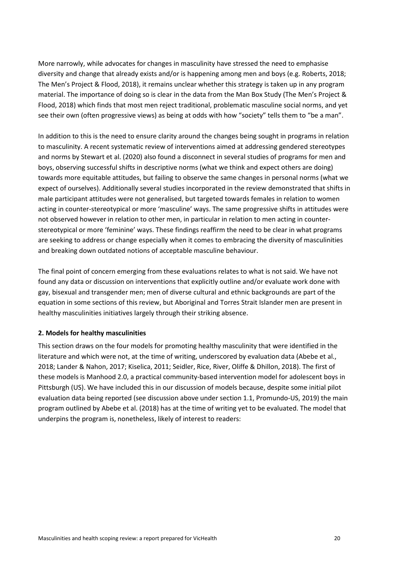More narrowly, while advocates for changes in masculinity have stressed the need to emphasise diversity and change that already exists and/or is happening among men and boys (e.g. Roberts, 2018; The Men's Project & Flood, 2018), it remains unclear whether this strategy is taken up in any program material. The importance of doing so is clear in the data from the Man Box Study (The Men's Project & Flood, 2018) which finds that most men reject traditional, problematic masculine social norms, and yet see their own (often progressive views) as being at odds with how "society" tells them to "be a man".

In addition to this is the need to ensure clarity around the changes being sought in programs in relation to masculinity. A recent systematic review of interventions aimed at addressing gendered stereotypes and norms by Stewart et al. (2020) also found a disconnect in several studies of programs for men and boys, observing successful shifts in descriptive norms (what we think and expect others are doing) towards more equitable attitudes, but failing to observe the same changes in personal norms (what we expect of ourselves). Additionally several studies incorporated in the review demonstrated that shifts in male participant attitudes were not generalised, but targeted towards females in relation to women acting in counter-stereotypical or more 'masculine' ways. The same progressive shifts in attitudes were not observed however in relation to other men, in particular in relation to men acting in counterstereotypical or more 'feminine' ways. These findings reaffirm the need to be clear in what programs are seeking to address or change especially when it comes to embracing the diversity of masculinities and breaking down outdated notions of acceptable masculine behaviour.

The final point of concern emerging from these evaluations relates to what is not said. We have not found any data or discussion on interventions that explicitly outline and/or evaluate work done with gay, bisexual and transgender men; men of diverse cultural and ethnic backgrounds are part of the equation in some sections of this review, but Aboriginal and Torres Strait Islander men are present in healthy masculinities initiatives largely through their striking absence.

## **2. Models for healthy masculinities**

This section draws on the four models for promoting healthy masculinity that were identified in the literature and which were not, at the time of writing, underscored by evaluation data (Abebe et al., 2018; Lander & Nahon, 2017; Kiselica, 2011; Seidler, Rice, River, Oliffe & Dhillon, 2018). The first of these models is Manhood 2.0, a practical community-based intervention model for adolescent boys in Pittsburgh (US). We have included this in our discussion of models because, despite some initial pilot evaluation data being reported (see discussion above under section 1.1, Promundo-US, 2019) the main program outlined by Abebe et al. (2018) has at the time of writing yet to be evaluated. The model that underpins the program is, nonetheless, likely of interest to readers: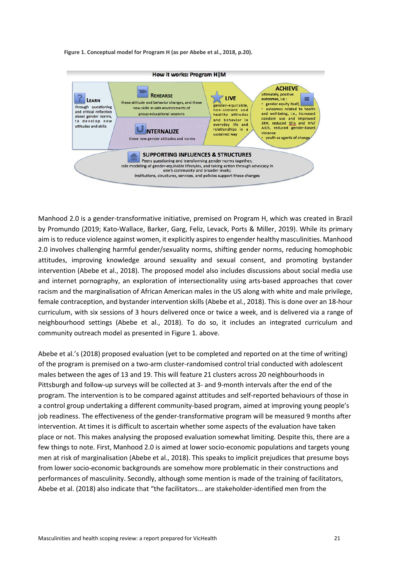**Figure 1. Conceptual model for Program H (as per Abebe et al., 2018, p.20).** 



Manhood 2.0 is a gender-transformative initiative, premised on Program H, which was created in Brazil by Promundo (2019; Kato-Wallace, Barker, Garg, Feliz, Levack, Ports & Miller, 2019). While its primary aim is to reduce violence against women, it explicitly aspires to engender healthy masculinities. Manhood 2.0 involves challenging harmful gender/sexuality norms, shifting gender norms, reducing homophobic attitudes, improving knowledge around sexuality and sexual consent, and promoting bystander intervention (Abebe et al., 2018). The proposed model also includes discussions about social media use and internet pornography, an exploration of intersectionality using arts-based approaches that cover racism and the marginalisation of African American males in the US along with white and male privilege, female contraception, and bystander intervention skills (Abebe et al., 2018). This is done over an 18-hour curriculum, with six sessions of 3 hours delivered once or twice a week, and is delivered via a range of neighbourhood settings (Abebe et al., 2018). To do so, it includes an integrated curriculum and community outreach model as presented in Figure 1. above.

Abebe et al.'s (2018) proposed evaluation (yet to be completed and reported on at the time of writing) of the program is premised on a two-arm cluster-randomised control trial conducted with adolescent males between the ages of 13 and 19. This will feature 21 clusters across 20 neighbourhoods in Pittsburgh and follow-up surveys will be collected at 3- and 9-month intervals after the end of the program. The intervention is to be compared against attitudes and self-reported behaviours of those in a control group undertaking a different community-based program, aimed at improving young people's job readiness. The effectiveness of the gender-transformative program will be measured 9 months after intervention. At times it is difficult to ascertain whether some aspects of the evaluation have taken place or not. This makes analysing the proposed evaluation somewhat limiting. Despite this, there are a few things to note. First, Manhood 2.0 is aimed at lower socio-economic populations and targets young men at risk of marginalisation (Abebe et al., 2018). This speaks to implicit prejudices that presume boys from lower socio-economic backgrounds are somehow more problematic in their constructions and performances of masculinity. Secondly, although some mention is made of the training of facilitators, Abebe et al. (2018) also indicate that "the facilitators... are stakeholder-identified men from the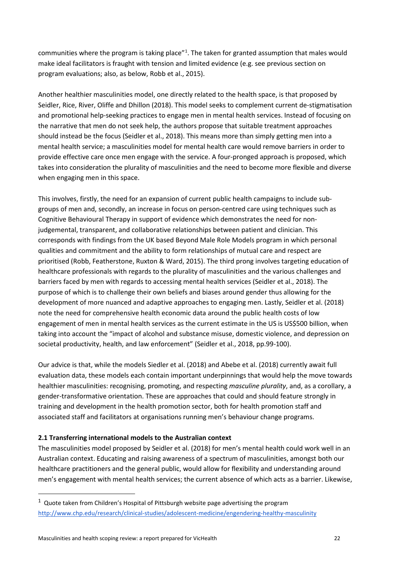communities where the program is taking place"<sup>[1](#page-22-0)</sup>. The taken for granted assumption that males would make ideal facilitators is fraught with tension and limited evidence (e.g. see previous section on program evaluations; also, as below, Robb et al., 2015).

Another healthier masculinities model, one directly related to the health space, is that proposed by Seidler, Rice, River, Oliffe and Dhillon (2018). This model seeks to complement current de-stigmatisation and promotional help-seeking practices to engage men in mental health services. Instead of focusing on the narrative that men do not seek help, the authors propose that suitable treatment approaches should instead be the focus (Seidler et al., 2018). This means more than simply getting men into a mental health service; a masculinities model for mental health care would remove barriers in order to provide effective care once men engage with the service. A four-pronged approach is proposed, which takes into consideration the plurality of masculinities and the need to become more flexible and diverse when engaging men in this space.

This involves, firstly, the need for an expansion of current public health campaigns to include subgroups of men and, secondly, an increase in focus on person-centred care using techniques such as Cognitive Behavioural Therapy in support of evidence which demonstrates the need for nonjudgemental, transparent, and collaborative relationships between patient and clinician. This corresponds with findings from the UK based Beyond Male Role Models program in which personal qualities and commitment and the ability to form relationships of mutual care and respect are prioritised (Robb, Featherstone, Ruxton & Ward, 2015). The third prong involves targeting education of healthcare professionals with regards to the plurality of masculinities and the various challenges and barriers faced by men with regards to accessing mental health services (Seidler et al., 2018). The purpose of which is to challenge their own beliefs and biases around gender thus allowing for the development of more nuanced and adaptive approaches to engaging men. Lastly, Seidler et al. (2018) note the need for comprehensive health economic data around the public health costs of low engagement of men in mental health services as the current estimate in the US is US\$500 billion, when taking into account the "impact of alcohol and substance misuse, domestic violence, and depression on societal productivity, health, and law enforcement" (Seidler et al., 2018, pp.99-100).

Our advice is that, while the models Siedler et al. (2018) and Abebe et al. (2018) currently await full evaluation data, these models each contain important underpinnings that would help the move towards healthier masculinities: recognising, promoting, and respecting *masculine plurality*, and, as a corollary, a gender-transformative orientation. These are approaches that could and should feature strongly in training and development in the health promotion sector, both for health promotion staff and associated staff and facilitators at organisations running men's behaviour change programs.

## **2.1 Transferring international models to the Australian context**

The masculinities model proposed by Seidler et al. (2018) for men's mental health could work well in an Australian context. Educating and raising awareness of a spectrum of masculinities, amongst both our healthcare practitioners and the general public, would allow for flexibility and understanding around men's engagement with mental health services; the current absence of which acts as a barrier. Likewise,

 $\overline{a}$ 

<span id="page-22-0"></span> $1$  Quote taken from Children's Hospital of Pittsburgh website page advertising the program <http://www.chp.edu/research/clinical-studies/adolescent-medicine/engendering-healthy-masculinity>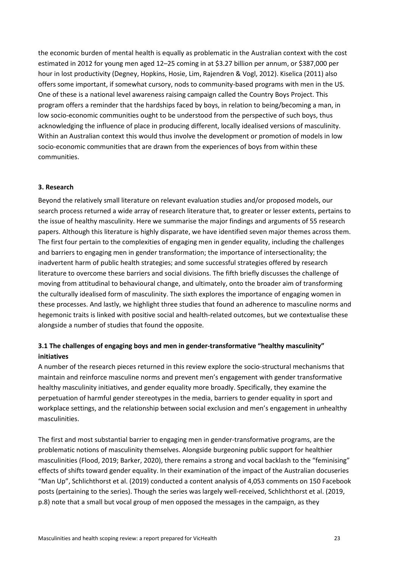the economic burden of mental health is equally as problematic in the Australian context with the cost estimated in 2012 for young men aged 12–25 coming in at \$3.27 billion per annum, or \$387,000 per hour in lost productivity (Degney, Hopkins, Hosie, Lim, Rajendren & Vogl, 2012). Kiselica (2011) also offers some important, if somewhat cursory, nods to community-based programs with men in the US. One of these is a national level awareness raising campaign called the Country Boys Project. This program offers a reminder that the hardships faced by boys, in relation to being/becoming a man, in low socio-economic communities ought to be understood from the perspective of such boys, thus acknowledging the influence of place in producing different, locally idealised versions of masculinity. Within an Australian context this would thus involve the development or promotion of models in low socio-economic communities that are drawn from the experiences of boys from within these communities.

#### **3. Research**

Beyond the relatively small literature on relevant evaluation studies and/or proposed models, our search process returned a wide array of research literature that, to greater or lesser extents, pertains to the issue of healthy masculinity. Here we summarise the major findings and arguments of 55 research papers. Although this literature is highly disparate, we have identified seven major themes across them. The first four pertain to the complexities of engaging men in gender equality, including the challenges and barriers to engaging men in gender transformation; the importance of intersectionality; the inadvertent harm of public health strategies; and some successful strategies offered by research literature to overcome these barriers and social divisions. The fifth briefly discusses the challenge of moving from attitudinal to behavioural change, and ultimately, onto the broader aim of transforming the culturally idealised form of masculinity. The sixth explores the importance of engaging women in these processes. And lastly, we highlight three studies that found an adherence to masculine norms and hegemonic traits is linked with positive social and health-related outcomes, but we contextualise these alongside a number of studies that found the opposite.

## **3.1 The challenges of engaging boys and men in gender-transformative "healthy masculinity" initiatives**

A number of the research pieces returned in this review explore the socio-structural mechanisms that maintain and reinforce masculine norms and prevent men's engagement with gender transformative healthy masculinity initiatives, and gender equality more broadly. Specifically, they examine the perpetuation of harmful gender stereotypes in the media, barriers to gender equality in sport and workplace settings, and the relationship between social exclusion and men's engagement in *un*healthy masculinities.

The first and most substantial barrier to engaging men in gender-transformative programs, are the problematic notions of masculinity themselves. Alongside burgeoning public support for healthier masculinities (Flood, 2019; Barker, 2020), there remains a strong and vocal backlash to the "feminising" effects of shifts toward gender equality. In their examination of the impact of the Australian docuseries "Man Up", Schlichthorst et al. (2019) conducted a content analysis of 4,053 comments on 150 Facebook posts (pertaining to the series). Though the series was largely well-received, Schlichthorst et al. (2019, p.8) note that a small but vocal group of men opposed the messages in the campaign, as they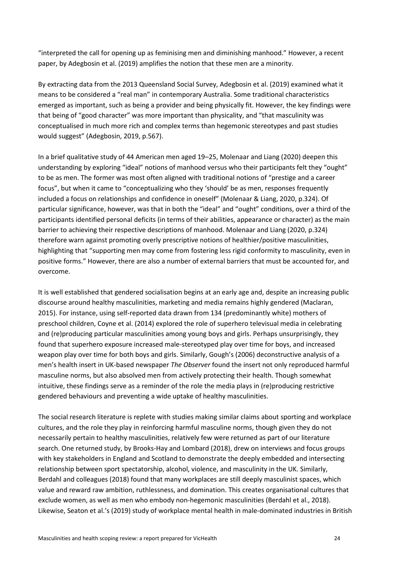"interpreted the call for opening up as feminising men and diminishing manhood." However, a recent paper, by Adegbosin et al. (2019) amplifies the notion that these men are a minority.

By extracting data from the 2013 Queensland Social Survey, Adegbosin et al. (2019) examined what it means to be considered a "real man" in contemporary Australia. Some traditional characteristics emerged as important, such as being a provider and being physically fit. However, the key findings were that being of "good character" was more important than physicality, and "that masculinity was conceptualised in much more rich and complex terms than hegemonic stereotypes and past studies would suggest" (Adegbosin, 2019, p.567).

In a brief qualitative study of 44 American men aged 19–25, Molenaar and Liang (2020) deepen this understanding by exploring "ideal" notions of manhood versus who their participants felt they "ought" to be as men. The former was most often aligned with traditional notions of "prestige and a career focus", but when it came to "conceptualizing who they 'should' be as men, responses frequently included a focus on relationships and confidence in oneself" (Molenaar & Liang, 2020, p.324). Of particular significance, however, was that in both the "ideal" and "ought" conditions, over a third of the participants identified personal deficits (in terms of their abilities, appearance or character) as the main barrier to achieving their respective descriptions of manhood. Molenaar and Liang (2020, p.324) therefore warn against promoting overly prescriptive notions of healthier/positive masculinities, highlighting that "supporting men may come from fostering less rigid conformity to masculinity, even in positive forms." However, there are also a number of external barriers that must be accounted for, and overcome.

It is well established that gendered socialisation begins at an early age and, despite an increasing public discourse around healthy masculinities, marketing and media remains highly gendered (Maclaran, 2015). For instance, using self-reported data drawn from 134 (predominantly white) mothers of preschool children, Coyne et al. (2014) explored the role of superhero televisual media in celebrating and (re)producing particular masculinities among young boys and girls. Perhaps unsurprisingly, they found that superhero exposure increased male-stereotyped play over time for boys, and increased weapon play over time for both boys and girls. Similarly, Gough's (2006) deconstructive analysis of a men's health insert in UK-based newspaper *The Observer* found the insert not only reproduced harmful masculine norms, but also absolved men from actively protecting their health. Though somewhat intuitive, these findings serve as a reminder of the role the media plays in (re)producing restrictive gendered behaviours and preventing a wide uptake of healthy masculinities.

The social research literature is replete with studies making similar claims about sporting and workplace cultures, and the role they play in reinforcing harmful masculine norms, though given they do not necessarily pertain to healthy masculinities, relatively few were returned as part of our literature search. One returned study, by Brooks-Hay and Lombard (2018), drew on interviews and focus groups with key stakeholders in England and Scotland to demonstrate the deeply embedded and intersecting relationship between sport spectatorship, alcohol, violence, and masculinity in the UK. Similarly, Berdahl and colleagues (2018) found that many workplaces are still deeply masculinist spaces, which value and reward raw ambition, ruthlessness, and domination. This creates organisational cultures that exclude women, as well as men who embody non-hegemonic masculinities (Berdahl et al., 2018). Likewise, Seaton et al.'s (2019) study of workplace mental health in male-dominated industries in British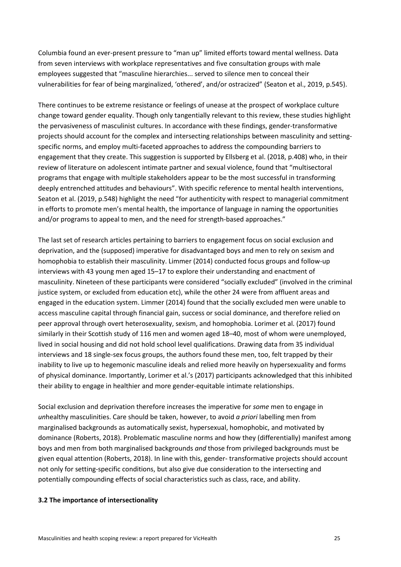Columbia found an ever-present pressure to "man up" limited efforts toward mental wellness. Data from seven interviews with workplace representatives and five consultation groups with male employees suggested that "masculine hierarchies... served to silence men to conceal their vulnerabilities for fear of being marginalized, 'othered', and/or ostracized" (Seaton et al., 2019, p.545).

There continues to be extreme resistance or feelings of unease at the prospect of workplace culture change toward gender equality. Though only tangentially relevant to this review, these studies highlight the pervasiveness of masculinist cultures. In accordance with these findings, gender-transformative projects should account for the complex and intersecting relationships between masculinity and settingspecific norms, and employ multi-faceted approaches to address the compounding barriers to engagement that they create. This suggestion is supported by Ellsberg et al. (2018, p.408) who, in their review of literature on adolescent intimate partner and sexual violence, found that "multisectoral programs that engage with multiple stakeholders appear to be the most successful in transforming deeply entrenched attitudes and behaviours". With specific reference to mental health interventions, Seaton et al. (2019, p.548) highlight the need "for authenticity with respect to managerial commitment in efforts to promote men's mental health, the importance of language in naming the opportunities and/or programs to appeal to men, and the need for strength-based approaches."

The last set of research articles pertaining to barriers to engagement focus on social exclusion and deprivation, and the (supposed) imperative for disadvantaged boys and men to rely on sexism and homophobia to establish their masculinity. Limmer (2014) conducted focus groups and follow-up interviews with 43 young men aged 15–17 to explore their understanding and enactment of masculinity. Nineteen of these participants were considered "socially excluded" (involved in the criminal justice system, or excluded from education etc), while the other 24 were from affluent areas and engaged in the education system. Limmer (2014) found that the socially excluded men were unable to access masculine capital through financial gain, success or social dominance, and therefore relied on peer approval through overt heterosexuality, sexism, and homophobia. Lorimer et al. (2017) found similarly in their Scottish study of 116 men and women aged 18–40, most of whom were unemployed, lived in social housing and did not hold school level qualifications. Drawing data from 35 individual interviews and 18 single-sex focus groups, the authors found these men, too, felt trapped by their inability to live up to hegemonic masculine ideals and relied more heavily on hypersexuality and forms of physical dominance. Importantly, Lorimer et al.'s (2017) participants acknowledged that this inhibited their ability to engage in healthier and more gender-equitable intimate relationships.

Social exclusion and deprivation therefore increases the imperative for *some* men to engage in *un*healthy masculinities. Care should be taken, however, to avoid *a priori* labelling men from marginalised backgrounds as automatically sexist, hypersexual, homophobic, and motivated by dominance (Roberts, 2018). Problematic masculine norms and how they (differentially) manifest among boys and men from both marginalised backgrounds *and* those from privileged backgrounds must be given equal attention (Roberts, 2018). In line with this, gender- transformative projects should account not only for setting-specific conditions, but also give due consideration to the intersecting and potentially compounding effects of social characteristics such as class, race, and ability.

#### **3.2 The importance of intersectionality**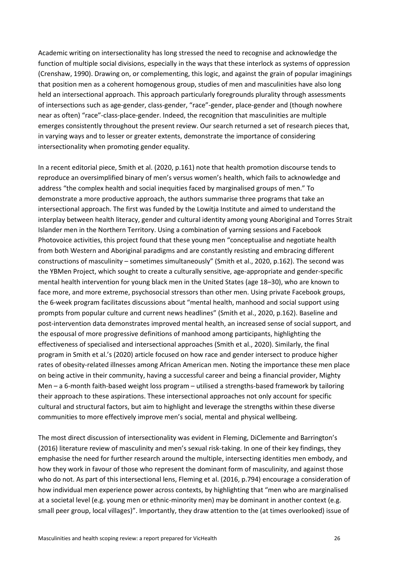Academic writing on intersectionality has long stressed the need to recognise and acknowledge the function of multiple social divisions, especially in the ways that these interlock as systems of oppression (Crenshaw, 1990). Drawing on, or complementing, this logic, and against the grain of popular imaginings that position men as a coherent homogenous group, studies of men and masculinities have also long held an intersectional approach. This approach particularly foregrounds plurality through assessments of intersections such as age-gender, class-gender, "race"-gender, place-gender and (though nowhere near as often) "race"-class-place-gender. Indeed, the recognition that masculinities are multiple emerges consistently throughout the present review. Our search returned a set of research pieces that, in varying ways and to lesser or greater extents, demonstrate the importance of considering intersectionality when promoting gender equality.

In a recent editorial piece, Smith et al. (2020, p.161) note that health promotion discourse tends to reproduce an oversimplified binary of men's versus women's health, which fails to acknowledge and address "the complex health and social inequities faced by marginalised groups of men." To demonstrate a more productive approach, the authors summarise three programs that take an intersectional approach. The first was funded by the Lowitja Institute and aimed to understand the interplay between health literacy, gender and cultural identity among young Aboriginal and Torres Strait Islander men in the Northern Territory. Using a combination of yarning sessions and Facebook Photovoice activities, this project found that these young men "conceptualise and negotiate health from both Western and Aboriginal paradigms and are constantly resisting and embracing different constructions of masculinity – sometimes simultaneously" (Smith et al., 2020, p.162). The second was the YBMen Project, which sought to create a culturally sensitive, age-appropriate and gender-specific mental health intervention for young black men in the United States (age 18–30), who are known to face more, and more extreme, psychosocial stressors than other men. Using private Facebook groups, the 6-week program facilitates discussions about "mental health, manhood and social support using prompts from popular culture and current news headlines" (Smith et al., 2020, p.162). Baseline and post-intervention data demonstrates improved mental health, an increased sense of social support, and the espousal of more progressive definitions of manhood among participants, highlighting the effectiveness of specialised and intersectional approaches (Smith et al., 2020). Similarly, the final program in Smith et al.'s (2020) article focused on how race and gender intersect to produce higher rates of obesity-related illnesses among African American men. Noting the importance these men place on being active in their community, having a successful career and being a financial provider, Mighty Men – a 6-month faith-based weight loss program – utilised a strengths-based framework by tailoring their approach to these aspirations. These intersectional approaches not only account for specific cultural and structural factors, but aim to highlight and leverage the strengths within these diverse communities to more effectively improve men's social, mental and physical wellbeing.

The most direct discussion of intersectionality was evident in Fleming, DiClemente and Barrington's (2016) literature review of masculinity and men's sexual risk-taking. In one of their key findings, they emphasise the need for further research around the multiple, intersecting identities men embody, and how they work in favour of those who represent the dominant form of masculinity, and against those who do not. As part of this intersectional lens, Fleming et al. (2016, p.794) encourage a consideration of how individual men experience power across contexts, by highlighting that "men who are marginalised at a societal level (e.g. young men or ethnic-minority men) may be dominant in another context (e.g. small peer group, local villages)". Importantly, they draw attention to the (at times overlooked) issue of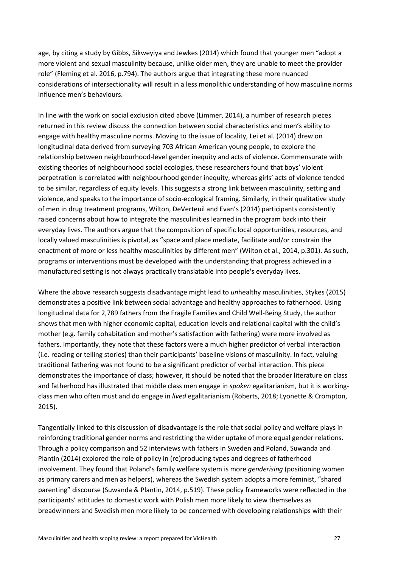age, by citing a study by Gibbs, Sikweyiya and Jewkes (2014) which found that younger men "adopt a more violent and sexual masculinity because, unlike older men, they are unable to meet the provider role" (Fleming et al. 2016, p.794). The authors argue that integrating these more nuanced considerations of intersectionality will result in a less monolithic understanding of how masculine norms influence men's behaviours.

In line with the work on social exclusion cited above (Limmer, 2014), a number of research pieces returned in this review discuss the connection between social characteristics and men's ability to engage with healthy masculine norms. Moving to the issue of locality, Lei et al. (2014) drew on longitudinal data derived from surveying 703 African American young people, to explore the relationship between neighbourhood-level gender inequity and acts of violence. Commensurate with existing theories of neighbourhood social ecologies, these researchers found that boys' violent perpetration is correlated with neighbourhood gender inequity, whereas girls' acts of violence tended to be similar, regardless of equity levels. This suggests a strong link between masculinity, setting and violence, and speaks to the importance of socio-ecological framing. Similarly, in their qualitative study of men in drug treatment programs, Wilton, DeVerteuil and Evan's (2014) participants consistently raised concerns about how to integrate the masculinities learned in the program back into their everyday lives. The authors argue that the composition of specific local opportunities, resources, and locally valued masculinities is pivotal, as "space and place mediate, facilitate and/or constrain the enactment of more or less healthy masculinities by different men" (Wilton et al., 2014, p.301). As such, programs or interventions must be developed with the understanding that progress achieved in a manufactured setting is not always practically translatable into people's everyday lives.

Where the above research suggests disadvantage might lead to *un*healthy masculinities, Stykes (2015) demonstrates a positive link between social advantage and healthy approaches to fatherhood. Using longitudinal data for 2,789 fathers from the Fragile Families and Child Well-Being Study, the author shows that men with higher economic capital, education levels and relational capital with the child's mother (e.g. family cohabitation and mother's satisfaction with fathering) were more involved as fathers. Importantly, they note that these factors were a much higher predictor of verbal interaction (i.e. reading or telling stories) than their participants' baseline visions of masculinity. In fact, valuing traditional fathering was not found to be a significant predictor of verbal interaction. This piece demonstrates the importance of class; however, it should be noted that the broader literature on class and fatherhood has illustrated that middle class men engage in *spoken* egalitarianism, but it is workingclass men who often must and do engage in *lived* egalitarianism (Roberts, 2018; Lyonette & Crompton, 2015).

Tangentially linked to this discussion of disadvantage is the role that social policy and welfare plays in reinforcing traditional gender norms and restricting the wider uptake of more equal gender relations. Through a policy comparison and 52 interviews with fathers in Sweden and Poland, Suwanda and Plantin (2014) explored the role of policy in (re)producing types and degrees of fatherhood involvement. They found that Poland's family welfare system is more *genderising* (positioning women as primary carers and men as helpers), whereas the Swedish system adopts a more feminist, "shared parenting" discourse (Suwanda & Plantin, 2014, p.519). These policy frameworks were reflected in the participants' attitudes to domestic work with Polish men more likely to view themselves as breadwinners and Swedish men more likely to be concerned with developing relationships with their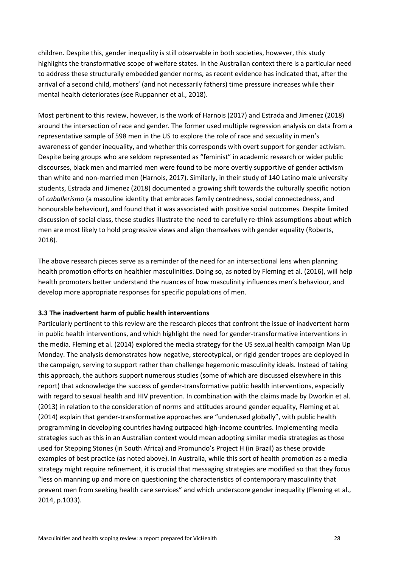children. Despite this, gender inequality is still observable in both societies, however, this study highlights the transformative scope of welfare states. In the Australian context there is a particular need to address these structurally embedded gender norms, as recent evidence has indicated that, after the arrival of a second child, mothers' (and not necessarily fathers) time pressure increases while their mental health deteriorates (see Ruppanner et al., 2018).

Most pertinent to this review, however, is the work of Harnois (2017) and Estrada and Jimenez (2018) around the intersection of race and gender. The former used multiple regression analysis on data from a representative sample of 598 men in the US to explore the role of race and sexuality in men's awareness of gender inequality, and whether this corresponds with overt support for gender activism. Despite being groups who are seldom represented as "feminist" in academic research or wider public discourses, black men and married men were found to be more overtly supportive of gender activism than white and non-married men (Harnois, 2017). Similarly, in their study of 140 Latino male university students, Estrada and Jimenez (2018) documented a growing shift towards the culturally specific notion of *caballerismo* (a masculine identity that embraces family centredness, social connectedness, and honourable behaviour), and found that it was associated with positive social outcomes. Despite limited discussion of social class, these studies illustrate the need to carefully re-think assumptions about which men are most likely to hold progressive views and align themselves with gender equality (Roberts, 2018).

The above research pieces serve as a reminder of the need for an intersectional lens when planning health promotion efforts on healthier masculinities. Doing so, as noted by Fleming et al. (2016), will help health promoters better understand the nuances of how masculinity influences men's behaviour, and develop more appropriate responses for specific populations of men.

#### **3.3 The inadvertent harm of public health interventions**

Particularly pertinent to this review are the research pieces that confront the issue of inadvertent harm in public health interventions, and which highlight the need for gender-transformative interventions in the media. Fleming et al. (2014) explored the media strategy for the US sexual health campaign Man Up Monday. The analysis demonstrates how negative, stereotypical, or rigid gender tropes are deployed in the campaign, serving to support rather than challenge hegemonic masculinity ideals. Instead of taking this approach, the authors support numerous studies (some of which are discussed elsewhere in this report) that acknowledge the success of gender-transformative public health interventions, especially with regard to sexual health and HIV prevention. In combination with the claims made by Dworkin et al. (2013) in relation to the consideration of norms and attitudes around gender equality, Fleming et al. (2014) explain that gender-transformative approaches are "underused globally", with public health programming in developing countries having outpaced high-income countries. Implementing media strategies such as this in an Australian context would mean adopting similar media strategies as those used for Stepping Stones (in South Africa) and Promundo's Project H (in Brazil) as these provide examples of best practice (as noted above). In Australia, while this sort of health promotion as a media strategy might require refinement, it is crucial that messaging strategies are modified so that they focus "less on manning up and more on questioning the characteristics of contemporary masculinity that prevent men from seeking health care services" and which underscore gender inequality (Fleming et al., 2014, p.1033).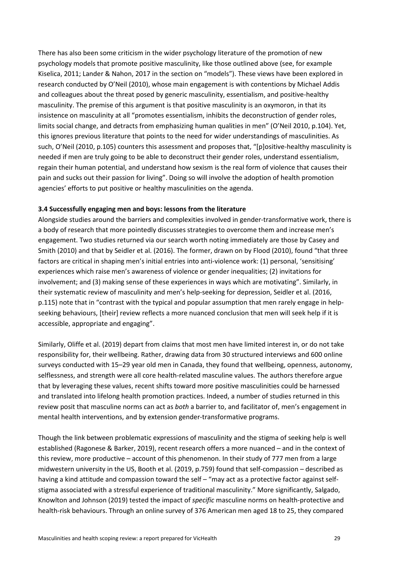There has also been some criticism in the wider psychology literature of the promotion of new psychology models that promote positive masculinity, like those outlined above (see, for example Kiselica, 2011; Lander & Nahon, 2017 in the section on "models"). These views have been explored in research conducted by O'Neil (2010), whose main engagement is with contentions by Michael Addis and colleagues about the threat posed by generic masculinity, essentialism, and positive-healthy masculinity. The premise of this argument is that positive masculinity is an oxymoron, in that its insistence on masculinity at all "promotes essentialism, inhibits the deconstruction of gender roles, limits social change, and detracts from emphasizing human qualities in men" (O'Neil 2010, p.104). Yet, this ignores previous literature that points to the need for wider understandings of masculinities. As such, O'Neil (2010, p.105) counters this assessment and proposes that, "[p]ositive-healthy masculinity is needed if men are truly going to be able to deconstruct their gender roles, understand essentialism, regain their human potential, and understand how sexism is the real form of violence that causes their pain and sucks out their passion for living". Doing so will involve the adoption of health promotion agencies' efforts to put positive or healthy masculinities on the agenda.

### **3.4 Successfully engaging men and boys: lessons from the literature**

Alongside studies around the barriers and complexities involved in gender-transformative work, there is a body of research that more pointedly discusses strategies to overcome them and increase men's engagement. Two studies returned via our search worth noting immediately are those by Casey and Smith (2010) and that by Seidler et al. (2016). The former, drawn on by Flood (2010), found "that three factors are critical in shaping men's initial entries into anti-violence work: (1) personal, 'sensitising' experiences which raise men's awareness of violence or gender inequalities; (2) invitations for involvement; and (3) making sense of these experiences in ways which are motivating". Similarly, in their systematic review of masculinity and men's help-seeking for depression, Seidler et al. (2016, p.115) note that in "contrast with the typical and popular assumption that men rarely engage in helpseeking behaviours, [their] review reflects a more nuanced conclusion that men will seek help if it is accessible, appropriate and engaging".

Similarly, Oliffe et al. (2019) depart from claims that most men have limited interest in, or do not take responsibility for, their wellbeing. Rather, drawing data from 30 structured interviews and 600 online surveys conducted with 15–29 year old men in Canada, they found that wellbeing, openness, autonomy, selflessness, and strength were all core health-related masculine values. The authors therefore argue that by leveraging these values, recent shifts toward more positive masculinities could be harnessed and translated into lifelong health promotion practices. Indeed, a number of studies returned in this review posit that masculine norms can act as *both* a barrier to, and facilitator of, men's engagement in mental health interventions, and by extension gender-transformative programs.

Though the link between problematic expressions of masculinity and the stigma of seeking help is well established (Ragonese & Barker, 2019), recent research offers a more nuanced – and in the context of this review, more productive – account of this phenomenon. In their study of 777 men from a large midwestern university in the US, Booth et al. (2019, p.759) found that self-compassion – described as having a kind attitude and compassion toward the self – "may act as a protective factor against selfstigma associated with a stressful experience of traditional masculinity." More significantly, Salgado, Knowlton and Johnson (2019) tested the impact of *specific* masculine norms on health-protective and health-risk behaviours. Through an online survey of 376 American men aged 18 to 25, they compared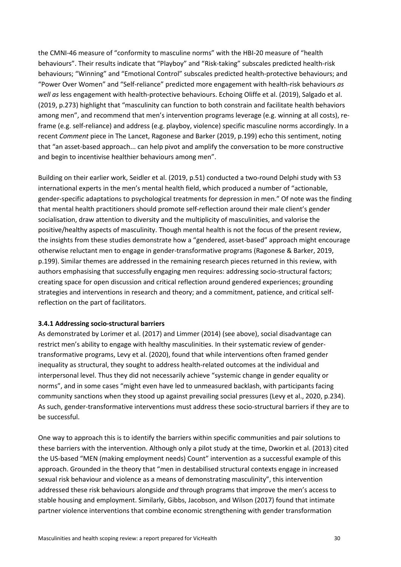the CMNI-46 measure of "conformity to masculine norms" with the HBI-20 measure of "health behaviours". Their results indicate that "Playboy" and "Risk-taking" subscales predicted health-risk behaviours; "Winning" and "Emotional Control" subscales predicted health-protective behaviours; and "Power Over Women" and "Self-reliance" predicted more engagement with health-risk behaviours *as well as* less engagement with health-protective behaviours. Echoing Oliffe et al. (2019), Salgado et al. (2019, p.273) highlight that "masculinity can function to both constrain and facilitate health behaviors among men", and recommend that men's intervention programs leverage (e.g. winning at all costs), reframe (e.g. self-reliance) and address (e.g. playboy, violence) specific masculine norms accordingly. In a recent *Comment* piece in The Lancet, Ragonese and Barker (2019, p.199) echo this sentiment, noting that "an asset-based approach... can help pivot and amplify the conversation to be more constructive and begin to incentivise healthier behaviours among men".

Building on their earlier work, Seidler et al. (2019, p.51) conducted a two-round Delphi study with 53 international experts in the men's mental health field, which produced a number of "actionable, gender-specific adaptations to psychological treatments for depression in men." Of note was the finding that mental health practitioners should promote self-reflection around their male client's gender socialisation, draw attention to diversity and the multiplicity of masculinities, and valorise the positive/healthy aspects of masculinity. Though mental health is not the focus of the present review, the insights from these studies demonstrate how a "gendered, asset-based" approach might encourage otherwise reluctant men to engage in gender-transformative programs (Ragonese & Barker, 2019, p.199). Similar themes are addressed in the remaining research pieces returned in this review, with authors emphasising that successfully engaging men requires: addressing socio-structural factors; creating space for open discussion and critical reflection around gendered experiences; grounding strategies and interventions in research and theory; and a commitment, patience, and critical selfreflection on the part of facilitators.

#### **3.4.1 Addressing socio-structural barriers**

As demonstrated by Lorimer et al. (2017) and Limmer (2014) (see above), social disadvantage can restrict men's ability to engage with healthy masculinities. In their systematic review of gendertransformative programs, Levy et al. (2020), found that while interventions often framed gender inequality as structural, they sought to address health-related outcomes at the individual and interpersonal level. Thus they did not necessarily achieve "systemic change in gender equality or norms", and in some cases "might even have led to unmeasured backlash, with participants facing community sanctions when they stood up against prevailing social pressures (Levy et al., 2020, p.234). As such, gender-transformative interventions must address these socio-structural barriers if they are to be successful.

One way to approach this is to identify the barriers within specific communities and pair solutions to these barriers with the intervention. Although only a pilot study at the time, Dworkin et al. (2013) cited the US-based "MEN (making employment needs) Count" intervention as a successful example of this approach. Grounded in the theory that "men in destabilised structural contexts engage in increased sexual risk behaviour and violence as a means of demonstrating masculinity", this intervention addressed these risk behaviours alongside *and* through programs that improve the men's access to stable housing and employment. Similarly, Gibbs, Jacobson, and Wilson (2017) found that intimate partner violence interventions that combine economic strengthening with gender transformation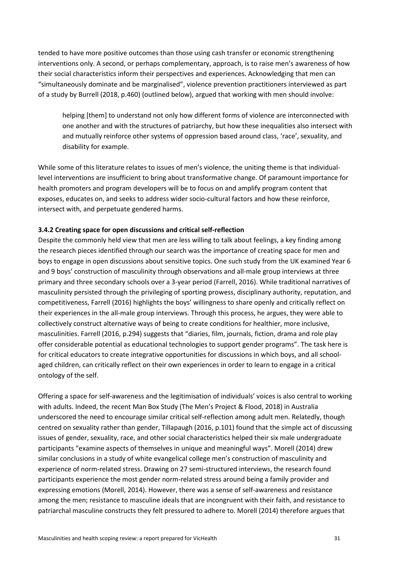tended to have more positive outcomes than those using cash transfer or economic strengthening interventions only. A second, or perhaps complementary, approach, is to raise men's awareness of how their social characteristics inform their perspectives and experiences. Acknowledging that men can "simultaneously dominate and be marginalised", violence prevention practitioners interviewed as part of a study by Burrell (2018, p.460) (outlined below), argued that working with men should involve:

helping [them] to understand not only how different forms of violence are interconnected with one another and with the structures of patriarchy, but how these inequalities also intersect with and mutually reinforce other systems of oppression based around class, 'race', sexuality, and disability for example.

While some of this literature relates to issues of men's violence, the uniting theme is that individuallevel interventions are insufficient to bring about transformative change. Of paramount importance for health promoters and program developers will be to focus on and amplify program content that exposes, educates on, and seeks to address wider socio-cultural factors and how these reinforce, intersect with, and perpetuate gendered harms.

### **3.4.2 Creating space for open discussions and critical self-reflection**

Despite the commonly held view that men are less willing to talk about feelings, a key finding among the research pieces identified through our search was the importance of creating space for men and boys to engage in open discussions about sensitive topics. One such study from the UK examined Year 6 and 9 boys' construction of masculinity through observations and all-male group interviews at three primary and three secondary schools over a 3-year period (Farrell, 2016). While traditional narratives of masculinity persisted through the privileging of sporting prowess, disciplinary authority, reputation, and competitiveness, Farrell (2016) highlights the boys' willingness to share openly and critically reflect on their experiences in the all-male group interviews. Through this process, he argues, they were able to collectively construct alternative ways of being to create conditions for healthier, more inclusive, masculinities. Farrell (2016, p.294) suggests that "diaries, film, journals, fiction, drama and role play offer considerable potential as educational technologies to support gender programs". The task here is for critical educators to create integrative opportunities for discussions in which boys, and all schoolaged children, can critically reflect on their own experiences in order to learn to engage in a critical ontology of the self.

Offering a space for self-awareness and the legitimisation of individuals' voices is also central to working with adults. Indeed, the recent Man Box Study (The Men's Project & Flood, 2018) in Australia underscored the need to encourage similar critical self-reflection among adult men. Relatedly, though centred on sexuality rather than gender, Tillapaugh (2016, p.101) found that the simple act of discussing issues of gender, sexuality, race, and other social characteristics helped their six male undergraduate participants "examine aspects of themselves in unique and meaningful ways". Morell (2014) drew similar conclusions in a study of white evangelical college men's construction of masculinity and experience of norm-related stress. Drawing on 27 semi-structured interviews, the research found participants experience the most gender norm-related stress around being a family provider and expressing emotions (Morell, 2014). However, there was a sense of self-awareness and resistance among the men; resistance to masculine ideals that are incongruent with their faith, and resistance to patriarchal masculine constructs they felt pressured to adhere to. Morell (2014) therefore argues that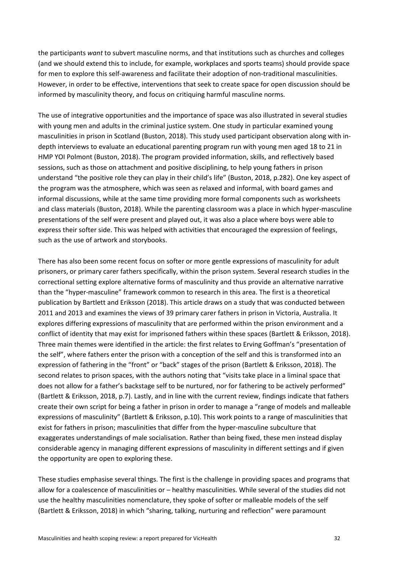the participants *want* to subvert masculine norms, and that institutions such as churches and colleges (and we should extend this to include, for example, workplaces and sports teams) should provide space for men to explore this self-awareness and facilitate their adoption of non-traditional masculinities. However, in order to be effective, interventions that seek to create space for open discussion should be informed by masculinity theory, and focus on critiquing harmful masculine norms.

The use of integrative opportunities and the importance of space was also illustrated in several studies with young men and adults in the criminal justice system. One study in particular examined young masculinities in prison in Scotland (Buston, 2018). This study used participant observation along with indepth interviews to evaluate an educational parenting program run with young men aged 18 to 21 in HMP YOI Polmont (Buston, 2018). The program provided information, skills, and reflectively based sessions, such as those on attachment and positive disciplining, to help young fathers in prison understand "the positive role they can play in their child's life" (Buston, 2018, p.282). One key aspect of the program was the atmosphere, which was seen as relaxed and informal, with board games and informal discussions, while at the same time providing more formal components such as worksheets and class materials (Buston, 2018). While the parenting classroom was a place in which hyper-masculine presentations of the self were present and played out, it was also a place where boys were able to express their softer side. This was helped with activities that encouraged the expression of feelings, such as the use of artwork and storybooks.

There has also been some recent focus on softer or more gentle expressions of masculinity for adult prisoners, or primary carer fathers specifically, within the prison system. Several research studies in the correctional setting explore alternative forms of masculinity and thus provide an alternative narrative than the "hyper-masculine" framework common to research in this area. The first is a theoretical publication by Bartlett and Eriksson (2018). This article draws on a study that was conducted between 2011 and 2013 and examines the views of 39 primary carer fathers in prison in Victoria, Australia. It explores differing expressions of masculinity that are performed within the prison environment and a conflict of identity that may exist for imprisoned fathers within these spaces (Bartlett & Eriksson, 2018). Three main themes were identified in the article: the first relates to Erving Goffman's "presentation of the self", where fathers enter the prison with a conception of the self and this is transformed into an expression of fathering in the "front" or "back" stages of the prison (Bartlett & Eriksson, 2018). The second relates to prison spaces, with the authors noting that "visits take place in a liminal space that does not allow for a father's backstage self to be nurtured, nor for fathering to be actively performed" (Bartlett & Eriksson, 2018, p.7). Lastly, and in line with the current review, findings indicate that fathers create their own script for being a father in prison in order to manage a "range of models and malleable expressions of masculinity" (Bartlett & Eriksson, p.10). This work points to a range of masculinities that exist for fathers in prison; masculinities that differ from the hyper-masculine subculture that exaggerates understandings of male socialisation. Rather than being fixed, these men instead display considerable agency in managing different expressions of masculinity in different settings and if given the opportunity are open to exploring these.

These studies emphasise several things. The first is the challenge in providing spaces and programs that allow for a coalescence of masculinities or – healthy masculinities. While several of the studies did not use the healthy masculinities nomenclature, they spoke of softer or malleable models of the self (Bartlett & Eriksson, 2018) in which "sharing, talking, nurturing and reflection" were paramount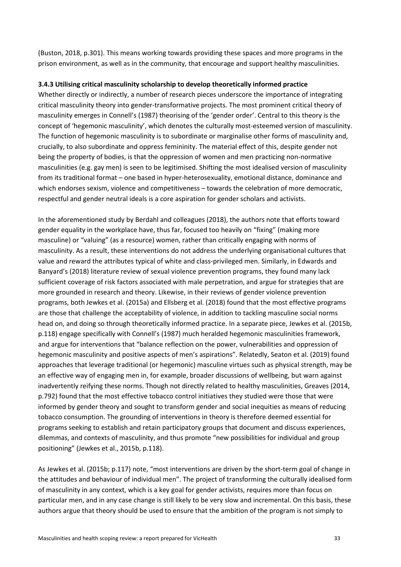(Buston, 2018, p.301). This means working towards providing these spaces and more programs in the prison environment, as well as in the community, that encourage and support healthy masculinities.

#### **3.4.3 Utilising critical masculinity scholarship to develop theoretically informed practice**

Whether directly or indirectly, a number of research pieces underscore the importance of integrating critical masculinity theory into gender-transformative projects. The most prominent critical theory of masculinity emerges in Connell's (1987) theorising of the 'gender order'. Central to this theory is the concept of 'hegemonic masculinity', which denotes the culturally most-esteemed version of masculinity. The function of hegemonic masculinity is to subordinate or marginalise other forms of masculinity and, crucially, to also subordinate and oppress femininity. The material effect of this, despite gender not being the property of bodies, is that the oppression of women and men practicing non-normative masculinities (e.g. gay men) is seen to be legitimised. Shifting the most idealised version of masculinity from its traditional format – one based in hyper-heterosexuality, emotional distance, dominance and which endorses sexism, violence and competitiveness – towards the celebration of more democratic, respectful and gender neutral ideals is a core aspiration for gender scholars and activists.

In the aforementioned study by Berdahl and colleagues (2018), the authors note that efforts toward gender equality in the workplace have, thus far, focused too heavily on "fixing" (making more masculine) or "valuing" (as a resource) women, rather than critically engaging with norms of masculinity. As a result, these interventions do not address the underlying organisational cultures that value and reward the attributes typical of white and class-privileged men. Similarly, in Edwards and Banyard's (2018) literature review of sexual violence prevention programs, they found many lack sufficient coverage of risk factors associated with male perpetration, and argue for strategies that are more grounded in research and theory. Likewise, in their reviews of gender violence prevention programs, both Jewkes et al. (2015a) and Ellsberg et al. (2018) found that the most effective programs are those that challenge the acceptability of violence, in addition to tackling masculine social norms head on, and doing so through theoretically informed practice. In a separate piece, Jewkes et al. (2015b, p.118) engage specifically with Connell's (1987) much heralded hegemonic masculinities framework, and argue for interventions that "balance reflection on the power, vulnerabilities and oppression of hegemonic masculinity and positive aspects of men's aspirations". Relatedly, Seaton et al. (2019) found approaches that leverage traditional (or hegemonic) masculine virtues such as physical strength, may be an effective way of engaging men in, for example, broader discussions of wellbeing, but warn against inadvertently reifying these norms. Though not directly related to healthy masculinities, Greaves (2014, p.792) found that the most effective tobacco control initiatives they studied were those that were informed by gender theory and sought to transform gender and social inequities as means of reducing tobacco consumption. The grounding of interventions in theory is therefore deemed essential for programs seeking to establish and retain participatory groups that document and discuss experiences, dilemmas, and contexts of masculinity, and thus promote "new possibilities for individual and group positioning" (Jewkes et al., 2015b, p.118).

As Jewkes et al. (2015b; p.117) note, "most interventions are driven by the short-term goal of change in the attitudes and behaviour of individual men". The project of transforming the culturally idealised form of masculinity in any context, which is a key goal for gender activists, requires more than focus on particular men, and in any case change is still likely to be very slow and incremental. On this basis, these authors argue that theory should be used to ensure that the ambition of the program is not simply to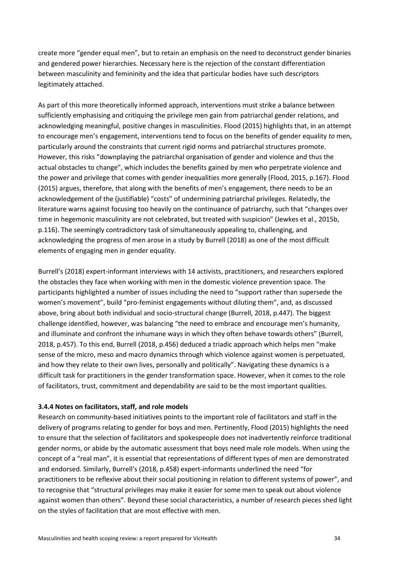create more "gender equal men", but to retain an emphasis on the need to deconstruct gender binaries and gendered power hierarchies. Necessary here is the rejection of the constant differentiation between masculinity and femininity and the idea that particular bodies have such descriptors legitimately attached.

As part of this more theoretically informed approach, interventions must strike a balance between sufficiently emphasising and critiquing the privilege men gain from patriarchal gender relations, and acknowledging meaningful, positive changes in masculinities. Flood (2015) highlights that, in an attempt to encourage men's engagement, interventions tend to focus on the benefits of gender equality *to* men, particularly around the constraints that current rigid norms and patriarchal structures promote. However, this risks "downplaying the patriarchal organisation of gender and violence and thus the actual obstacles to change", which includes the benefits gained by men who perpetrate violence and the power and privilege that comes with gender inequalities more generally (Flood, 2015, p.167). Flood (2015) argues, therefore, that along with the benefits of men's engagement, there needs to be an acknowledgement of the (justifiable) "costs" of undermining patriarchal privileges. Relatedly, the literature warns against focusing too heavily on the continuance of patriarchy, such that "changes over time in hegemonic masculinity are not celebrated, but treated with suspicion" (Jewkes et al., 2015b, p.116). The seemingly contradictory task of simultaneously appealing to, challenging, and acknowledging the progress of men arose in a study by Burrell (2018) as one of the most difficult elements of engaging men in gender equality.

Burrell's (2018) expert-informant interviews with 14 activists, practitioners, and researchers explored the obstacles they face when working with men in the domestic violence prevention space. The participants highlighted a number of issues including the need to "support rather than supersede the women's movement", build "pro-feminist engagements without diluting them", and, as discussed above, bring about both individual and socio-structural change (Burrell, 2018, p.447). The biggest challenge identified, however, was balancing "the need to embrace and encourage men's humanity, and illuminate and confront the inhumane ways in which they often behave towards others" (Burrell, 2018, p.457). To this end, Burrell (2018, p.456) deduced a triadic approach which helps men "make sense of the micro, meso and macro dynamics through which violence against women is perpetuated, and how they relate to their own lives, personally and politically". Navigating these dynamics is a difficult task for practitioners in the gender transformation space. However, when it comes to the role of facilitators, trust, commitment and dependability are said to be the most important qualities.

## **3.4.4 Notes on facilitators, staff, and role models**

Research on community-based initiatives points to the important role of facilitators and staff in the delivery of programs relating to gender for boys and men. Pertinently, Flood (2015) highlights the need to ensure that the selection of facilitators and spokespeople does not inadvertently reinforce traditional gender norms, or abide by the automatic assessment that boys need male role models. When using the concept of a "real man", it is essential that representations of different types of men are demonstrated and endorsed. Similarly, Burrell's (2018, p.458) expert-informants underlined the need "for practitioners to be reflexive about their social positioning in relation to different systems of power", and to recognise that "structural privileges may make it easier for some men to speak out about violence against women than others". Beyond these social characteristics, a number of research pieces shed light on the styles of facilitation that are most effective with men.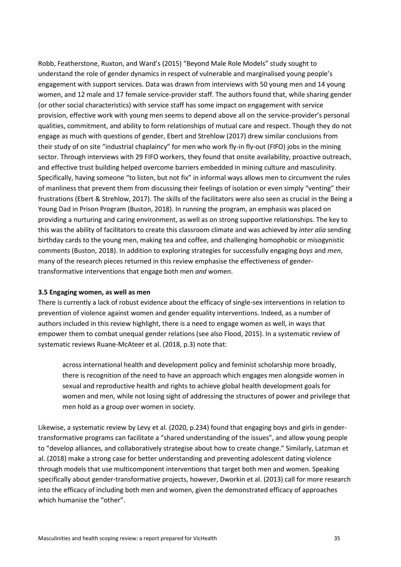Robb, Featherstone, Ruxton, and Ward's (2015) "Beyond Male Role Models" study sought to understand the role of gender dynamics in respect of vulnerable and marginalised young people's engagement with support services. Data was drawn from interviews with 50 young men and 14 young women, and 12 male and 17 female service-provider staff. The authors found that, while sharing gender (or other social characteristics) with service staff has some impact on engagement with service provision, effective work with young men seems to depend above all on the service-provider's personal qualities, commitment, and ability to form relationships of mutual care and respect. Though they do not engage as much with questions of gender, Ebert and Strehlow (2017) drew similar conclusions from their study of on site "industrial chaplaincy" for men who work fly-in fly-out (FIFO) jobs in the mining sector. Through interviews with 29 FIFO workers, they found that onsite availability, proactive outreach, and effective trust building helped overcome barriers embedded in mining culture and masculinity. Specifically, having someone "to listen, but not fix" in informal ways allows men to circumvent the rules of manliness that prevent them from discussing their feelings of isolation or even simply "venting" their frustrations (Ebert & Strehlow, 2017). The skills of the facilitators were also seen as crucial in the Being a Young Dad in Prison Program (Buston, 2018). In running the program, an emphasis was placed on providing a nurturing and caring environment, as well as on strong supportive relationships. The key to this was the ability of facilitators to create this classroom climate and was achieved by *inter alia* sending birthday cards to the young men, making tea and coffee, and challenging homophobic or misogynistic comments (Buston, 2018). In addition to exploring strategies for successfully engaging *boys* and *men*, many of the research pieces returned in this review emphasise the effectiveness of gendertransformative interventions that engage both men *and* women.

#### **3.5 Engaging women, as well as men**

There is currently a lack of robust evidence about the efficacy of single-sex interventions in relation to prevention of violence against women and gender equality interventions. Indeed, as a number of authors included in this review highlight, there is a need to engage women as well, in ways that empower them to combat unequal gender relations (see also Flood, 2015). In a systematic review of systematic reviews Ruane-McAteer et al. (2018, p.3) note that:

across international health and development policy and feminist scholarship more broadly, there is recognition of the need to have an approach which engages men alongside women in sexual and reproductive health and rights to achieve global health development goals for women and men, while not losing sight of addressing the structures of power and privilege that men hold as a group over women in society.

Likewise, a systematic review by Levy et al. (2020, p.234) found that engaging boys and girls in gendertransformative programs can facilitate a "shared understanding of the issues", and allow young people to "develop alliances, and collaboratively strategise about how to create change." Similarly, Latzman et al. (2018) make a strong case for better understanding and preventing adolescent dating violence through models that use multicomponent interventions that target both men and women. Speaking specifically about gender-transformative projects, however, Dworkin et al. (2013) call for more research into the efficacy of including both men and women, given the demonstrated efficacy of approaches which humanise the "other".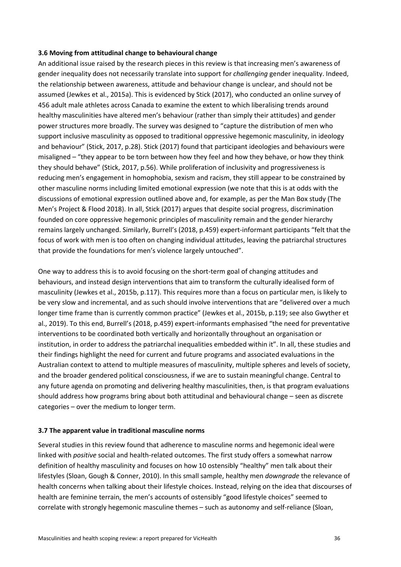#### **3.6 Moving from attitudinal change to behavioural change**

An additional issue raised by the research pieces in this review is that increasing men's awareness of gender inequality does not necessarily translate into support for *challenging* gender inequality. Indeed, the relationship between awareness, attitude and behaviour change is unclear, and should not be assumed (Jewkes et al., 2015a). This is evidenced by Stick (2017), who conducted an online survey of 456 adult male athletes across Canada to examine the extent to which liberalising trends around healthy masculinities have altered men's behaviour (rather than simply their attitudes) and gender power structures more broadly. The survey was designed to "capture the distribution of men who support inclusive masculinity as opposed to traditional oppressive hegemonic masculinity, in ideology and behaviour" (Stick, 2017, p.28). Stick (2017) found that participant ideologies and behaviours were misaligned – "they appear to be torn between how they feel and how they behave, or how they think they should behave" (Stick, 2017, p.56). While proliferation of inclusivity and progressiveness is reducing men's engagement in homophobia, sexism and racism, they still appear to be constrained by other masculine norms including limited emotional expression (we note that this is at odds with the discussions of emotional expression outlined above and, for example, as per the Man Box study (The Men's Project & Flood 2018). In all, Stick (2017) argues that despite social progress, discrimination founded on core oppressive hegemonic principles of masculinity remain and the gender hierarchy remains largely unchanged. Similarly, Burrell's (2018, p.459) expert-informant participants "felt that the focus of work with men is too often on changing individual attitudes, leaving the patriarchal structures that provide the foundations for men's violence largely untouched".

One way to address this is to avoid focusing on the short-term goal of changing attitudes and behaviours, and instead design interventions that aim to transform the culturally idealised form of masculinity (Jewkes et al., 2015b, p.117). This requires more than a focus on particular men, is likely to be very slow and incremental, and as such should involve interventions that are "delivered over a much longer time frame than is currently common practice" (Jewkes et al., 2015b, p.119; see also Gwyther et al., 2019). To this end, Burrell's (2018, p.459) expert-informants emphasised "the need for preventative interventions to be coordinated both vertically and horizontally throughout an organisation or institution, in order to address the patriarchal inequalities embedded within it". In all, these studies and their findings highlight the need for current and future programs and associated evaluations in the Australian context to attend to multiple measures of masculinity, multiple spheres and levels of society, and the broader gendered political consciousness, if we are to sustain meaningful change. Central to any future agenda on promoting and delivering healthy masculinities, then, is that program evaluations should address how programs bring about both attitudinal and behavioural change – seen as discrete categories – over the medium to longer term.

#### **3.7 The apparent value in traditional masculine norms**

Several studies in this review found that adherence to masculine norms and hegemonic ideal were linked with *positive* social and health-related outcomes. The first study offers a somewhat narrow definition of healthy masculinity and focuses on how 10 ostensibly "healthy" men talk about their lifestyles (Sloan, Gough & Conner, 2010). In this small sample, healthy men *downgrade* the relevance of health concerns when talking about their lifestyle choices. Instead, relying on the idea that discourses of health are feminine terrain, the men's accounts of ostensibly "good lifestyle choices" seemed to correlate with strongly hegemonic masculine themes – such as autonomy and self-reliance (Sloan,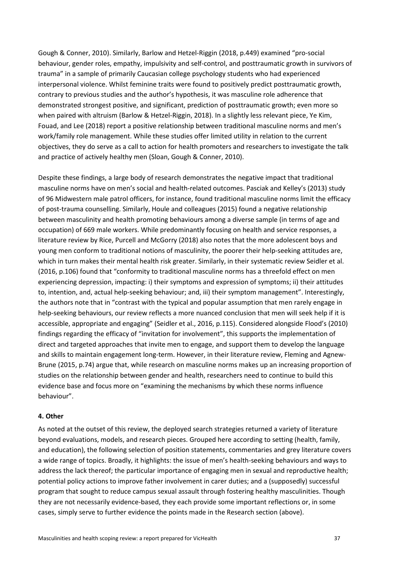Gough & Conner, 2010). Similarly, Barlow and Hetzel-Riggin (2018, p.449) examined "pro-social behaviour, gender roles, empathy, impulsivity and self-control, and posttraumatic growth in survivors of trauma" in a sample of primarily Caucasian college psychology students who had experienced interpersonal violence. Whilst feminine traits were found to positively predict posttraumatic growth, contrary to previous studies and the author's hypothesis, it was masculine role adherence that demonstrated strongest positive, and significant, prediction of posttraumatic growth; even more so when paired with altruism (Barlow & Hetzel-Riggin, 2018). In a slightly less relevant piece, Ye Kim, Fouad, and Lee (2018) report a positive relationship between traditional masculine norms and men's work/family role management. While these studies offer limited utility in relation to the current objectives, they do serve as a call to action for health promoters and researchers to investigate the talk and practice of actively healthy men (Sloan, Gough & Conner, 2010).

Despite these findings, a large body of research demonstrates the negative impact that traditional masculine norms have on men's social and health-related outcomes. Pasciak and Kelley's (2013) study of 96 Midwestern male patrol officers, for instance, found traditional masculine norms limit the efficacy of post-trauma counselling. Similarly, Houle and colleagues (2015) found a negative relationship between masculinity and health promoting behaviours among a diverse sample (in terms of age and occupation) of 669 male workers. While predominantly focusing on health and service responses, a literature review by Rice, Purcell and McGorry (2018) also notes that the more adolescent boys and young men conform to traditional notions of masculinity, the poorer their help-seeking attitudes are, which in turn makes their mental health risk greater. Similarly, in their systematic review Seidler et al. (2016, p.106) found that "conformity to traditional masculine norms has a threefold effect on men experiencing depression, impacting: i) their symptoms and expression of symptoms; ii) their attitudes to, intention, and, actual help-seeking behaviour; and, iii) their symptom management". Interestingly, the authors note that in "contrast with the typical and popular assumption that men rarely engage in help-seeking behaviours, our review reflects a more nuanced conclusion that men will seek help if it is accessible, appropriate and engaging" (Seidler et al., 2016, p.115). Considered alongside Flood's (2010) findings regarding the efficacy of "invitation for involvement", this supports the implementation of direct and targeted approaches that invite men to engage, and support them to develop the language and skills to maintain engagement long-term. However, in their literature review, Fleming and Agnew-Brune (2015, p.74) argue that, while research on masculine norms makes up an increasing proportion of studies on the relationship between gender and health, researchers need to continue to build this evidence base and focus more on "examining the mechanisms by which these norms influence behaviour".

#### **4. Other**

As noted at the outset of this review, the deployed search strategies returned a variety of literature beyond evaluations, models, and research pieces. Grouped here according to setting (health, family, and education), the following selection of position statements, commentaries and grey literature covers a wide range of topics. Broadly, it highlights: the issue of men's health-seeking behaviours and ways to address the lack thereof; the particular importance of engaging men in sexual and reproductive health; potential policy actions to improve father involvement in carer duties; and a (supposedly) successful program that sought to reduce campus sexual assault through fostering healthy masculinities. Though they are not necessarily evidence-based, they each provide some important reflections or, in some cases, simply serve to further evidence the points made in the Research section (above).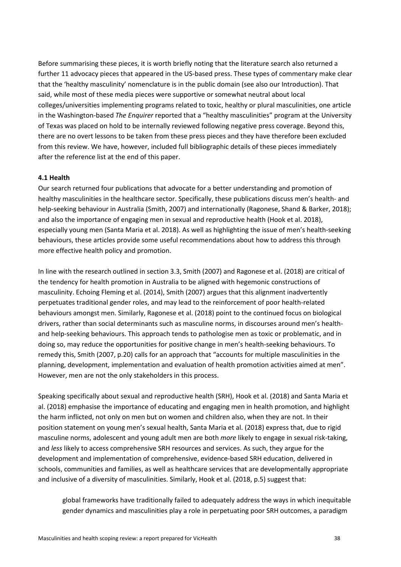Before summarising these pieces, it is worth briefly noting that the literature search also returned a further 11 advocacy pieces that appeared in the US-based press. These types of commentary make clear that the 'healthy masculinity' nomenclature is in the public domain (see also our Introduction). That said, while most of these media pieces were supportive or somewhat neutral about local colleges/universities implementing programs related to toxic, healthy or plural masculinities, one article in the Washington-based *The Enquirer* reported that a "healthy masculinities" program at the University of Texas was placed on hold to be internally reviewed following negative press coverage. Beyond this, there are no overt lessons to be taken from these press pieces and they have therefore been excluded from this review. We have, however, included full bibliographic details of these pieces immediately after the reference list at the end of this paper.

#### **4.1 Health**

Our search returned four publications that advocate for a better understanding and promotion of healthy masculinities in the healthcare sector. Specifically, these publications discuss men's health- and help-seeking behaviour in Australia (Smith, 2007) and internationally (Ragonese, Shand & Barker, 2018); and also the importance of engaging men in sexual and reproductive health (Hook et al. 2018), especially young men (Santa Maria et al. 2018). As well as highlighting the issue of men's health-seeking behaviours, these articles provide some useful recommendations about how to address this through more effective health policy and promotion.

In line with the research outlined in section 3.3, Smith (2007) and Ragonese et al. (2018) are critical of the tendency for health promotion in Australia to be aligned with hegemonic constructions of masculinity. Echoing Fleming et al. (2014), Smith (2007) argues that this alignment inadvertently perpetuates traditional gender roles, and may lead to the reinforcement of poor health-related behaviours amongst men. Similarly, Ragonese et al. (2018) point to the continued focus on biological drivers, rather than social determinants such as masculine norms, in discourses around men's healthand help-seeking behaviours. This approach tends to pathologise men as toxic or problematic, and in doing so, may reduce the opportunities for positive change in men's health-seeking behaviours. To remedy this, Smith (2007, p.20) calls for an approach that "accounts for multiple masculinities in the planning, development, implementation and evaluation of health promotion activities aimed at men". However, men are not the only stakeholders in this process.

Speaking specifically about sexual and reproductive health (SRH), Hook et al. (2018) and Santa Maria et al. (2018) emphasise the importance of educating and engaging men in health promotion, and highlight the harm inflicted, not only on men but on women and children also, when they are not. In their position statement on young men's sexual health, Santa Maria et al. (2018) express that, due to rigid masculine norms, adolescent and young adult men are both *more* likely to engage in sexual risk-taking, and *less* likely to access comprehensive SRH resources and services. As such, they argue for the development and implementation of comprehensive, evidence-based SRH education, delivered in schools, communities and families, as well as healthcare services that are developmentally appropriate and inclusive of a diversity of masculinities. Similarly, Hook et al. (2018, p.5) suggest that:

global frameworks have traditionally failed to adequately address the ways in which inequitable gender dynamics and masculinities play a role in perpetuating poor SRH outcomes, a paradigm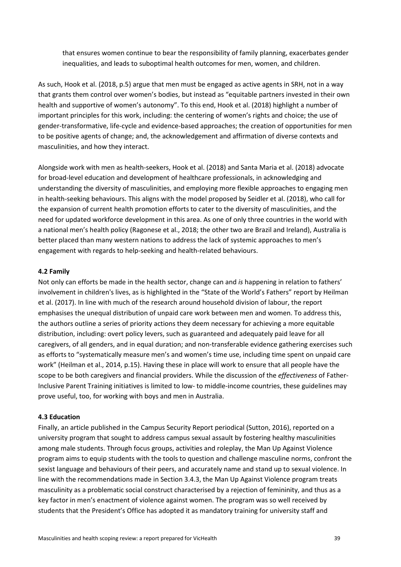that ensures women continue to bear the responsibility of family planning, exacerbates gender inequalities, and leads to suboptimal health outcomes for men, women, and children.

As such, Hook et al. (2018, p.5) argue that men must be engaged as active agents in SRH, not in a way that grants them control over women's bodies, but instead as "equitable partners invested in their own health and supportive of women's autonomy". To this end, Hook et al. (2018) highlight a number of important principles for this work, including: the centering of women's rights and choice; the use of gender-transformative, life-cycle and evidence-based approaches; the creation of opportunities for men to be positive agents of change; and, the acknowledgement and affirmation of diverse contexts and masculinities, and how they interact.

Alongside work with men as health-seekers, Hook et al. (2018) and Santa Maria et al. (2018) advocate for broad-level education and development of healthcare professionals, in acknowledging and understanding the diversity of masculinities, and employing more flexible approaches to engaging men in health-seeking behaviours. This aligns with the model proposed by Seidler et al. (2018), who call for the expansion of current health promotion efforts to cater to the diversity of masculinities, and the need for updated workforce development in this area. As one of only three countries in the world with a national men's health policy (Ragonese et al., 2018; the other two are Brazil and Ireland), Australia is better placed than many western nations to address the lack of systemic approaches to men's engagement with regards to help-seeking and health-related behaviours.

#### **4.2 Family**

Not only can efforts be made in the health sector, change can and *is* happening in relation to fathers' involvement in children's lives, as is highlighted in the "State of the World's Fathers" report by Heilman et al. (2017). In line with much of the research around household division of labour, the report emphasises the unequal distribution of unpaid care work between men and women. To address this, the authors outline a series of priority actions they deem necessary for achieving a more equitable distribution, including: overt policy levers, such as guaranteed and adequately paid leave for all caregivers, of all genders, and in equal duration; and non-transferable evidence gathering exercises such as efforts to "systematically measure men's and women's time use, including time spent on unpaid care work" (Heilman et al., 2014, p.15). Having these in place will work to ensure that all people have the scope to be both caregivers and financial providers. While the discussion of the *effectiveness* of Father-Inclusive Parent Training initiatives is limited to low- to middle-income countries, these guidelines may prove useful, too, for working with boys and men in Australia.

#### **4.3 Education**

Finally, an article published in the Campus Security Report periodical (Sutton, 2016), reported on a university program that sought to address campus sexual assault by fostering healthy masculinities among male students. Through focus groups, activities and roleplay, the Man Up Against Violence program aims to equip students with the tools to question and challenge masculine norms, confront the sexist language and behaviours of their peers, and accurately name and stand up to sexual violence. In line with the recommendations made in Section 3.4.3, the Man Up Against Violence program treats masculinity as a problematic social construct characterised by a rejection of femininity, and thus as a key factor in men's enactment of violence against women. The program was so well received by students that the President's Office has adopted it as mandatory training for university staff and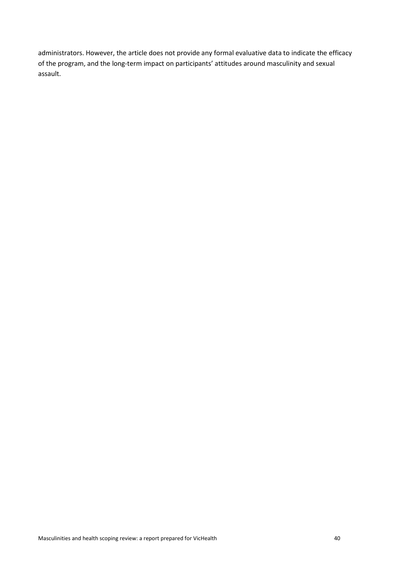administrators. However, the article does not provide any formal evaluative data to indicate the efficacy of the program, and the long-term impact on participants' attitudes around masculinity and sexual assault.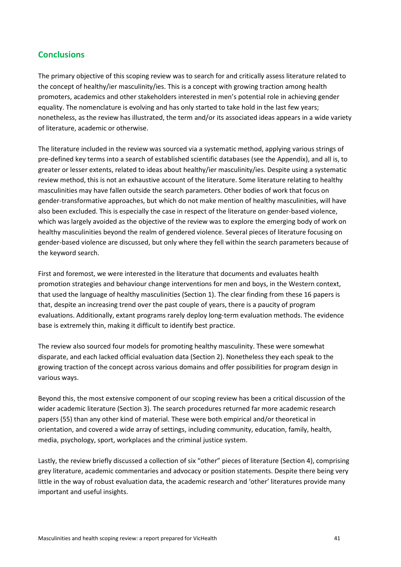# **Conclusions**

The primary objective of this scoping review was to search for and critically assess literature related to the concept of healthy/ier masculinity/ies. This is a concept with growing traction among health promoters, academics and other stakeholders interested in men's potential role in achieving gender equality. The nomenclature is evolving and has only started to take hold in the last few years; nonetheless, as the review has illustrated, the term and/or its associated ideas appears in a wide variety of literature, academic or otherwise.

The literature included in the review was sourced via a systematic method, applying various strings of pre-defined key terms into a search of established scientific databases (see the Appendix), and all is, to greater or lesser extents, related to ideas about healthy/ier masculinity/ies. Despite using a systematic review method, this is not an exhaustive account of the literature. Some literature relating to healthy masculinities may have fallen outside the search parameters. Other bodies of work that focus on gender-transformative approaches, but which do not make mention of healthy masculinities, will have also been excluded. This is especially the case in respect of the literature on gender-based violence, which was largely avoided as the objective of the review was to explore the emerging body of work on healthy masculinities beyond the realm of gendered violence. Several pieces of literature focusing on gender-based violence are discussed, but only where they fell within the search parameters because of the keyword search.

First and foremost, we were interested in the literature that documents and evaluates health promotion strategies and behaviour change interventions for men and boys, in the Western context, that used the language of healthy masculinities (Section 1). The clear finding from these 16 papers is that, despite an increasing trend over the past couple of years, there is a paucity of program evaluations. Additionally, extant programs rarely deploy long-term evaluation methods. The evidence base is extremely thin, making it difficult to identify best practice.

The review also sourced four models for promoting healthy masculinity. These were somewhat disparate, and each lacked official evaluation data (Section 2). Nonetheless they each speak to the growing traction of the concept across various domains and offer possibilities for program design in various ways.

Beyond this, the most extensive component of our scoping review has been a critical discussion of the wider academic literature (Section 3). The search procedures returned far more academic research papers (55) than any other kind of material. These were both empirical and/or theoretical in orientation, and covered a wide array of settings, including community, education, family, health, media, psychology, sport, workplaces and the criminal justice system.

Lastly, the review briefly discussed a collection of six "other" pieces of literature (Section 4), comprising grey literature, academic commentaries and advocacy or position statements. Despite there being very little in the way of robust evaluation data, the academic research and 'other' literatures provide many important and useful insights.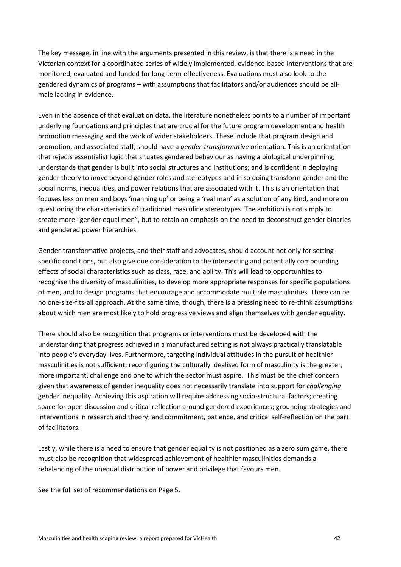The key message, in line with the arguments presented in this review, is that there is a need in the Victorian context for a coordinated series of widely implemented, evidence-based interventions that are monitored, evaluated and funded for long-term effectiveness. Evaluations must also look to the gendered dynamics of programs – with assumptions that facilitators and/or audiences should be allmale lacking in evidence.

Even in the absence of that evaluation data, the literature nonetheless points to a number of important underlying foundations and principles that are crucial for the future program development and health promotion messaging and the work of wider stakeholders. These include that program design and promotion, and associated staff, should have a *gender-transformative* orientation. This is an orientation that rejects essentialist logic that situates gendered behaviour as having a biological underpinning; understands that gender is built into social structures and institutions; and is confident in deploying gender theory to move beyond gender roles and stereotypes and in so doing transform gender and the social norms, inequalities, and power relations that are associated with it. This is an orientation that focuses less on men and boys 'manning up' or being a 'real man' as a solution of any kind, and more on questioning the characteristics of traditional masculine stereotypes. The ambition is not simply to create more "gender equal men", but to retain an emphasis on the need to deconstruct gender binaries and gendered power hierarchies.

Gender-transformative projects, and their staff and advocates, should account not only for settingspecific conditions, but also give due consideration to the intersecting and potentially compounding effects of social characteristics such as class, race, and ability. This will lead to opportunities to recognise the diversity of masculinities, to develop more appropriate responses for specific populations of men, and to design programs that encourage and accommodate multiple masculinities. There can be no one-size-fits-all approach. At the same time, though, there is a pressing need to re-think assumptions about which men are most likely to hold progressive views and align themselves with gender equality.

There should also be recognition that programs or interventions must be developed with the understanding that progress achieved in a manufactured setting is not always practically translatable into people's everyday lives. Furthermore, targeting individual attitudes in the pursuit of healthier masculinities is not sufficient; reconfiguring the culturally idealised form of masculinity is the greater, more important, challenge and one to which the sector must aspire. This must be the chief concern given that awareness of gender inequality does not necessarily translate into support for *challenging*  gender inequality. Achieving this aspiration will require addressing socio-structural factors; creating space for open discussion and critical reflection around gendered experiences; grounding strategies and interventions in research and theory; and commitment, patience, and critical self-reflection on the part of facilitators.

Lastly, while there is a need to ensure that gender equality is not positioned as a zero sum game, there must also be recognition that widespread achievement of healthier masculinities demands a rebalancing of the unequal distribution of power and privilege that favours men.

See the full set of recommendations on Page 5.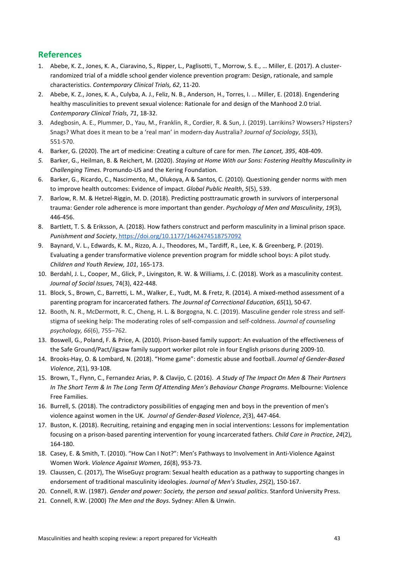# **References**

- 1. Abebe, K. Z., Jones, K. A., Ciaravino, S., Ripper, L., Paglisotti, T., Morrow, S. E., … Miller, E. (2017). A clusterrandomized trial of a middle school gender violence prevention program: Design, rationale, and sample characteristics. *Contemporary Clinical Trials, 62*, 11-20.
- 2. Abebe, K. Z., Jones, K. A., Culyba, A. J., Feliz, N. B., Anderson, H., Torres, I. … Miller, E. (2018). Engendering healthy masculinities to prevent sexual violence: Rationale for and design of the Manhood 2.0 trial. *Contemporary Clinical Trials*, *71*, 18-32.
- 3. Adegbosin, A. E., Plummer, D., Yau, M., Franklin, R., Cordier, R. & Sun, J. (2019). Larrikins? Wowsers? Hipsters? Snags? What does it mean to be a 'real man' in modern-day Australia? *Journal of Sociology*, *55*(3), 551-570.
- 4. Barker, G. (2020). The art of medicine: Creating a culture of care for men. *The Lancet, 395*, 408-409.
- *5.* Barker, G., Heilman, B. & Reichert, M. (2020). *Staying at Home With our Sons: Fostering Healthy Masculinity in Challenging Times.* Promundo-US and the Kering Foundation.
- 6. Barker, G., Ricardo, C., Nascimento, M., Olukoya, A & Santos, C. (2010). Questioning gender norms with men to improve health outcomes: Evidence of impact. *Global Public Health*, *5*(5), 539.
- 7. Barlow, R. M. & Hetzel-Riggin, M. D. (2018). Predicting posttraumatic growth in survivors of interpersonal trauma: Gender role adherence is more important than gender. *Psychology of Men and Masculinity*, *19*(3), 446-456.
- 8. Bartlett, T. S. & Eriksson, A. (2018). How fathers construct and perform masculinity in a liminal prison space. *Punishment and Society*, [https://doi.org/10.1177/1462474518757092](https://doi.org/10.1177%2F1462474518757092)
- 9. Baynard, V. L., Edwards, K. M., Rizzo, A. J., Theodores, M., Tardiff, R., Lee, K. & Greenberg, P. (2019). Evaluating a gender transformative violence prevention program for middle school boys: A pilot study. *Children and Youth Review, 101*, 165-173.
- 10. Berdahl, J. L., Cooper, M., Glick, P., Livingston, R. W. & Williams, J. C. (2018). Work as a masculinity contest. *Journal of Social Issues*, 74(3), 422-448.
- 11. Block, S., Brown, C., Barretti, L. M., Walker, E., Yudt, M. & Fretz, R. (2014). A mixed-method assessment of a parenting program for incarcerated fathers. *The Journal of Correctional Education*, *65*(1), 50-67.
- 12. Booth, N. R., McDermott, R. C., Cheng, H. L. & Borgogna, N. C. (2019). Masculine gender role stress and selfstigma of seeking help: The moderating roles of self-compassion and self-coldness. *Journal of counseling psychology, 66*(6), 755–762.
- 13. Boswell, G., Poland, F. & Price, A. (2010). Prison-based family support: An evaluation of the effectiveness of the Safe Ground/Pact/Jigsaw family support worker pilot role in four English prisons during 2009-10.
- 14. Brooks-Hay, O. & Lombard, N. (2018). "Home game": domestic abuse and football. *Journal of Gender-Based Violence*, *2*(1), 93-108.
- 15. Brown, T., Flynn, C., Fernandez Arias, P. & Clavijo, C. (2016). *A Study of The Impact On Men & Their Partners In The Short Term & In The Long Term Of Attending Men's Behaviour Change Programs*. Melbourne: Violence Free Families.
- 16. Burrell, S. (2018). The contradictory possibilities of engaging men and boys in the prevention of men's violence against women in the UK. *Journal of Gender-Based Violence*, *2*(3), 447-464.
- 17. Buston, K. (2018). Recruiting, retaining and engaging men in social interventions: Lessons for implementation focusing on a prison-based parenting intervention for young incarcerated fathers. *Child Care in Practice*, *24*(2), 164-180.
- 18. Casey, E. & Smith, T. (2010). "How Can I Not?": Men's Pathways to Involvement in Anti-Violence Against Women Work. *Violence Against Women*, *16*(8), 953-73.
- 19. Claussen, C. (2017), The WiseGuyz program: Sexual health education as a pathway to supporting changes in endorsement of traditional masculinity ideologies. *Journal of Men's Studies*, *25*(2), 150-167.
- 20. Connell, R.W. (1987). *Gender and power: Society, the person and sexual politics*. Stanford University Press.
- 21. Connell, R.W. (2000) *The Men and the Boys*. Sydney: Allen & Unwin.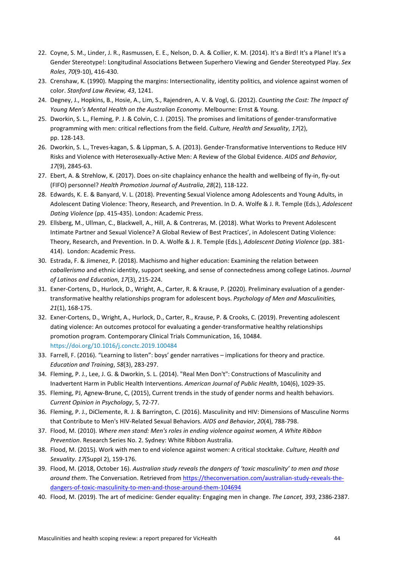- 22. Coyne, S. M., Linder, J. R., Rasmussen, E. E., Nelson, D. A. & Collier, K. M. (2014). It's a Bird! It's a Plane! It's a Gender Stereotype!: Longitudinal Associations Between Superhero Viewing and Gender Stereotyped Play. *Sex Roles*, *70*(9-10), 416-430.
- 23. Crenshaw, K. (1990). Mapping the margins: Intersectionality, identity politics, and violence against women of color. *Stanford Law Review, 43*, 1241.
- 24. Degney, J., Hopkins, B., Hosie, A., Lim, S., Rajendren, A. V. & Vogl, G. (2012). *Counting the Cost: The Impact of Young Men's Mental Health on the Australian Economy*. Melbourne: Ernst & Young.
- 25. Dworkin, S. L., Fleming, P. J. & Colvin, C. J. (2015). The promises and limitations of gender-transformative programming with men: critical reflections from the field. *Culture, Health and Sexuality*, *17*(2), pp. 128-143.
- 26. Dworkin, S. L., Treves-kagan, S. & Lippman, S. A. (2013). Gender-Transformative Interventions to Reduce HIV Risks and Violence with Heterosexually-Active Men: A Review of the Global Evidence. *AIDS and Behavior, 17*(9), 2845-63.
- 27. Ebert, A. & Strehlow, K. (2017). Does on-site chaplaincy enhance the health and wellbeing of fly-in, fly-out (FIFO) personnel? *Health Promotion Journal of Australia*, *28*(2), 118-122.
- 28. Edwards, K. E. & Banyard, V. L. (2018). Preventing Sexual Violence among Adolescents and Young Adults, in Adolescent Dating Violence: Theory, Research, and Prevention. In D. A. Wolfe & J. R. Temple (Eds.), *Adolescent Dating Violence* (pp. 415-435). London: Academic Press.
- 29. Ellsberg, M., Ullman, C., Blackwell, A., Hill, A. & Contreras, M. (2018). What Works to Prevent Adolescent Intimate Partner and Sexual Violence? A Global Review of Best Practices', in Adolescent Dating Violence: Theory, Research, and Prevention. In D. A. Wolfe & J. R. Temple (Eds.), *Adolescent Dating Violence* (pp. 381- 414). London: Academic Press.
- 30. Estrada, F. & Jimenez, P. (2018). Machismo and higher education: Examining the relation between *caballerismo* and ethnic identity, support seeking, and sense of connectedness among college Latinos. *Journal of Latinos and Education*, *17*(3), 215-224.
- 31. Exner-Cortens, D., Hurlock, D., Wright, A., Carter, R. & Krause, P. (2020). Preliminary evaluation of a gendertransformative healthy relationships program for adolescent boys. *Psychology of Men and Masculinities, 21*(1), 168-175.
- 32. Exner-Cortens, D., Wright, A., Hurlock, D., Carter, R., Krause, P. & Crooks, C. (2019). Preventing adolescent dating violence: An outcomes protocol for evaluating a gender-transformative healthy relationships promotion program. Contemporary Clinical Trials Communication, 16, 10484. [https://doi.org/10.1016/j.conctc.2019.100484](https://doi-org.ezproxy.lib.monash.edu.au/10.1016/j.conctc.2019.100484)
- 33. Farrell, F. (2016). "Learning to listen": boys' gender narratives implications for theory and practice. *Education and Training*, *58*(3), 283-297.
- 34. Fleming, P. J., Lee, J. G. & Dworkin, S. L. (2014). "Real Men Don't": Constructions of Masculinity and Inadvertent Harm in Public Health Interventions. *American Journal of Public Health*, 104(6), 1029-35.
- 35. Fleming, PJ, Agnew-Brune, C, (2015), Current trends in the study of gender norms and health behaviors. *Current Opinion in Psychology*, 5, 72-77.
- 36. Fleming, P. J., DiClemente, R. J. & Barrington, C. (2016). Masculinity and HIV: Dimensions of Masculine Norms that Contribute to Men's HIV-Related Sexual Behaviors. *AIDS and Behavior*, *20*(4), 788-798.
- 37. Flood, M. (2010). *Where men stand: Men's roles in ending violence against women, A White Ribbon Prevention*. Research Series No. 2. Sydney: White Ribbon Australia.
- 38. Flood, M. (2015). Work with men to end violence against women: A critical stocktake. *Culture, Health and Sexuality*. *17*(Suppl 2), 159-176.
- 39. Flood, M. (2018, October 16). *Australian study reveals the dangers of 'toxic masculinity' to men and those around them*. The Conversation. Retrieved fro[m https://theconversation.com/australian-study-reveals-the](https://theconversation.com/australian-study-reveals-the-dangers-of-toxic-masculinity-to-men-and-those-around-them-104694)[dangers-of-toxic-masculinity-to-men-and-those-around-them-104694](https://theconversation.com/australian-study-reveals-the-dangers-of-toxic-masculinity-to-men-and-those-around-them-104694)
- 40. Flood, M. (2019). The art of medicine: Gender equality: Engaging men in change. *The Lancet, 393*, 2386-2387.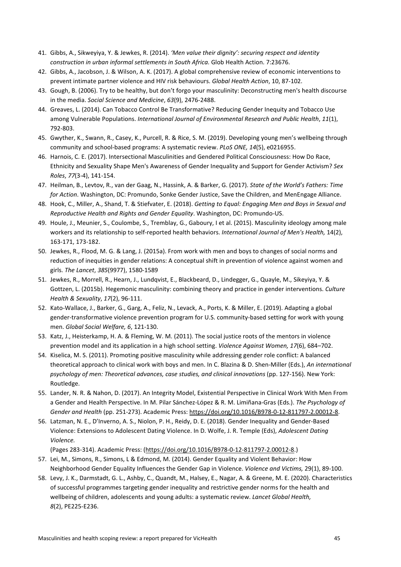- 41. Gibbs, A., Sikweyiya, Y. & Jewkes, R. (2014). *'Men value their dignity': securing respect and identity construction in urban informal settlements in South Africa.* Glob Health Action. 7:23676.
- 42. Gibbs, A., Jacobson, J. & Wilson, A. K. (2017). A global comprehensive review of economic interventions to prevent intimate partner violence and HIV risk behaviours. *Global Health Action*, 10, 87-102.
- 43. Gough, B. (2006). Try to be healthy, but don't forgo your masculinity: Deconstructing men's health discourse in the media. *Social Science and Medicine*, *63*(9), 2476-2488.
- 44. Greaves, L. (2014). Can Tobacco Control Be Transformative? Reducing Gender Inequity and Tobacco Use among Vulnerable Populations. *International Journal of Environmental Research and Public Health*, *11*(1), 792-803.
- 45. Gwyther, K., Swann, R., Casey, K., Purcell, R. & Rice, S. M. (2019). Developing young men's wellbeing through community and school-based programs: A systematic review. *PLoS ONE, 14*(5), e0216955.
- 46. Harnois, C. E. (2017). Intersectional Masculinities and Gendered Political Consciousness: How Do Race, Ethnicity and Sexuality Shape Men's Awareness of Gender Inequality and Support for Gender Activism? *Sex Roles*, *77*(3-4), 141-154.
- 47. Heilman, B., Levtov, R., van der Gaag, N., Hassink, A. & Barker, G. (2017). *State of the World's Fathers: Time for Action*. Washington, DC: Promundo, Sonke Gender Justice, Save the Children, and MenEngage Alliance.
- 48. Hook, C., Miller, A., Shand, T. & Stiefvater, E. (2018). *Getting to Equal: Engaging Men and Boys in Sexual and Reproductive Health and Rights and Gender Equality*. Washington, DC: Promundo-US.
- 49. Houle, J., Meunier, S., Coulombe, S., Tremblay, G., Gaboury, I et al. (2015). Masculinity ideology among male workers and its relationship to self-reported health behaviors. *International Journal of Men's Health,* 14(2), 163-171, 173-182.
- 50. Jewkes, R., Flood, M. G. & Lang, J. (2015a). From work with men and boys to changes of social norms and reduction of inequities in gender relations: A conceptual shift in prevention of violence against women and girls. *The Lancet*, *385*(9977), 1580-1589
- 51. Jewkes, R., Morrell, R., Hearn, J., Lundqvist, E., Blackbeard, D., Lindegger, G., Quayle, M., Sikeyiya, Y. & Gottzen, L. (2015b). Hegemonic masculinity: combining theory and practice in gender interventions. *Culture Health & Sexuality*, *17*(2), 96-111.
- 52. Kato-Wallace, J., Barker, G., Garg, A., Feliz, N., Levack, A., Ports, K. & Miller, E. (2019). Adapting a global gender-transformative violence prevention program for U.S. community-based setting for work with young men. *Global Social Welfare, 6*, 121-130.
- 53. Katz, J., Heisterkamp, H. A. & Fleming, W. M. (2011). The social justice roots of the mentors in violence prevention model and its application in a high school setting. *Violence Against Women, 17*(6), 684–702.
- 54. Kiselica, M. S. (2011). Promoting positive masculinity while addressing gender role conflict: A balanced theoretical approach to clinical work with boys and men. In C. Blazina & D. Shen-Miller (Eds.), *An international psychology of men: Theoretical advances, case studies, and clinical innovations* (pp. 127-156). New York: Routledge.
- 55. Lander, N. R. & Nahon, D. (2017). An Integrity Model, Existential Perspective in Clinical Work With Men From a Gender and Health Perspective. In M. Pilar Sánchez-López & R. M. Limiñana-Gras (Eds.). *The Psychology of Gender and Health* (pp. 251-273). Academic Press: [https://doi.org/10.1016/B978-0-12-811797-2.00012-8.](https://doi.org/10.1016/B978-0-12-811797-2.00012-8)
- 56. Latzman, N. E., D'Inverno, A. S., Niolon, P. H., Reidy, D. E. (2018). Gender Inequality and Gender-Based Violence: Extensions to Adolescent Dating Violence. In D. Wolfe, J. R. Temple (Eds), *Adolescent Dating Violence.*

(Pages 283-314). Academic Press: [\(https://doi.org/10.1016/B978-0-12-811797-2.00012-8.](https://doi.org/10.1016/B978-0-12-811797-2.00012-8))

- 57. Lei, M., Simons, R., Simons, L & Edmond, M. (2014). Gender Equality and Violent Behavior: How Neighborhood Gender Equality Influences the Gender Gap in Violence. *Violence and Victims,* 29(1), 89-100.
- 58. Levy, J. K., Darmstadt, G. L., Ashby, C., Quandt, M., Halsey, E., Nagar, A. & Greene, M. E. (2020). Characteristics of successful programmes targeting gender inequality and restrictive gender norms for the health and wellbeing of children, adolescents and young adults: a systematic review. *Lancet Global Health, 8*(2), PE225-E236.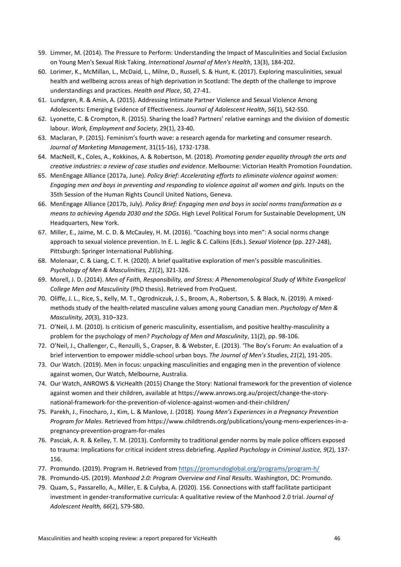- 59. Limmer, M. (2014). The Pressure to Perform: Understanding the Impact of Masculinities and Social Exclusion on Young Men's Sexual Risk Taking. *International Journal of Men's Health*, 13(3), 184-202.
- 60. Lorimer, K., McMillan, L., McDaid, L., Milne, D., Russell, S. & Hunt, K. (2017). Exploring masculinities, sexual health and wellbeing across areas of high deprivation in Scotland: The depth of the challenge to improve understandings and practices. *Health and Place*, *50*, 27-41.
- 61. Lundgren, R. & Amin, A. (2015). Addressing Intimate Partner Violence and Sexual Violence Among Adolescents: Emerging Evidence of Effectiveness. *Journal of Adolescent Health*, *56*(1), S42-S50.
- 62. Lyonette, C. & Crompton, R. (2015). Sharing the load? Partners' relative earnings and the division of domestic labour. *Work, Employment and Society*, 29(1), 23-40.
- 63. Maclaran, P. (2015). Feminism's fourth wave: a research agenda for marketing and consumer research. *Journal of Marketing Management*, 31(15-16), 1732-1738.
- 64. MacNeill, K., Coles, A., Kokkinos, A. & Robertson, M. (2018). *Promoting gender equality through the arts and creative industries: a review of case studies and evidence*. Melbourne: Victorian Health Promotion Foundation.
- 65. MenEngage Alliance (2017a, June). *Policy Brief: Accelerating efforts to eliminate violence against women:*  Engaging men and boys in preventing and responding to violence against all women and girls. Inputs on the 35th Session of the Human Rights Council United Nations, Geneva.
- 66. MenEngage Alliance (2017b, July). *Policy Brief: Engaging men and boys in social norms transformation as a means to achieving Agenda 2030 and the SDGs*. High Level Political Forum for Sustainable Development, UN Headquarters, New York.
- 67. Miller, E., Jaime, M. C. D. & McCauley, H. M. (2016). "Coaching boys into men": A social norms change approach to sexual violence prevention. In E. L. Jeglic & C. Calkins (Eds.). *Sexual Violence* (pp. 227-248), Pittsburgh: Springer International Publishing.
- 68. Molenaar, C. & Liang, C. T. H. (2020). A brief qualitative exploration of men's possible masculinities. *Psychology of Men & Masculinities, 21*(2), 321-326.
- 69. Morell, J. D. (2014). *Men of Faith, Responsibility, and Stress: A Phenomenological Study of White Evangelical College Men and Masculinity* (PhD thesis). Retrieved from ProQuest.
- 70. Oliffe, J. L., Rice, S., Kelly, M. T., Ogrodniczuk, J. S., Broom, A., Robertson, S. & Black, N. (2019). A mixedmethods study of the health-related masculine values among young Canadian men. *Psychology of Men & Masculinity, 20*(3), 310–323.
- 71. O'Neil, J. M. (2010). Is criticism of generic masculinity, essentialism, and positive healthy-masculinity a problem for the psychology of men? *Psychology of Men and Masculinity*, 11(2), pp. 98-106.
- 72. O'Neil, J., Challenger, C., Renzulli, S., Crapser, B. & Webster, E. (2013). 'The Boy's Forum: An evaluation of a brief intervention to empower middle-school urban boys. *The Journal of Men's Studies*, *21*(2), 191-205.
- 73. Our Watch. (2019). Men in focus: unpacking masculinities and engaging men in the prevention of violence against women, Our Watch, Melbourne, Australia.
- 74. Our Watch, ANROWS & VicHealth (2015) Change the Story: National framework for the prevention of violence against women and their children, available at https://www.anrows.org.au/project/change-the-storynational-framework-for-the-prevention-of-violence-against-women-and-their-children/
- 75. Parekh, J., Finocharo, J., Kim, L. & Manlove, J. (2018). *Young Men's Experiences in a Pregnancy Prevention Program for Males*. Retrieved from [https://www.childtrends.org/publications/young-mens-experiences-in-a](https://www.childtrends.org/publications/young-mens-experiences-in-a-pregnancy-prevention-program-for-males)[pregnancy-prevention-program-for-males](https://www.childtrends.org/publications/young-mens-experiences-in-a-pregnancy-prevention-program-for-males)
- 76. Pasciak, A. R. & Kelley, T. M. (2013). Conformity to traditional gender norms by male police officers exposed to trauma: Implications for critical incident stress debriefing. *Applied Psychology in Criminal Justice, 9*(2), 137- 156.
- 77. Promundo. (2019). Program H. Retrieved from<https://promundoglobal.org/programs/program-h/>
- 78. Promundo-US. (2019). *Manhood 2.0: Program Overview and Final Results*. Washington, DC: Promundo.
- 79. Quam, S., Passarello, A., Miller, E. & Culyba, A. (2020). 156. Connections with staff facilitate participant investment in gender-transformative curricula: A qualitative review of the Manhood 2.0 trial. *Journal of Adolescent Health, 66*(2), S79-S80.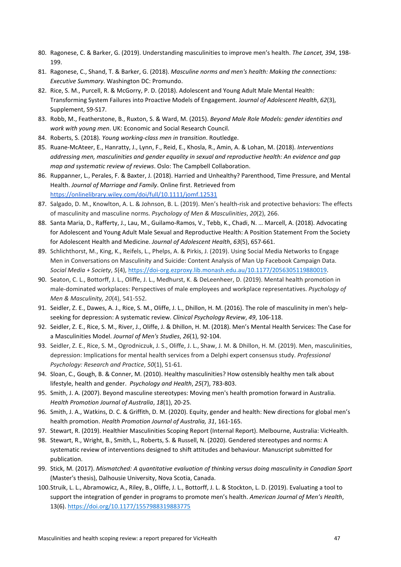- 80. Ragonese, C. & Barker, G. (2019). Understanding masculinities to improve men's health. *The Lancet, 394*, 198- 199.
- 81. Ragonese, C., Shand, T. & Barker, G. (2018). *Masculine norms and men's health: Making the connections: Executive Summary*. Washington DC: Promundo.
- 82. Rice, S. M., Purcell, R. & McGorry, P. D. (2018). Adolescent and Young Adult Male Mental Health: Transforming System Failures into Proactive Models of Engagement. J*ournal of Adolescent Health*, *62*(3), Supplement, S9-S17.
- 83. Robb, M., Featherstone, B., Ruxton, S. & Ward, M. (2015). *Beyond Male Role Models: gender identities and work with young men*. UK: Economic and Social Research Council.
- 84. Roberts, S. (2018). *Young working-class men in transition*. Routledge.
- 85. Ruane-McAteer, E., Hanratty, J., Lynn, F., Reid, E., Khosla, R., Amin, A. & Lohan, M. (2018). *Interventions addressing men, masculinities and gender equality in sexual and reproductive health: An evidence and gap map and systematic review of reviews*. Oslo: The Campbell Collaboration.
- 86. Ruppanner, L., Perales, F. & Baxter, J. (2018). Harried and Unhealthy? Parenthood, Time Pressure, and Mental Health. *Journal of Marriage and Family*. Online first. Retrieved from <https://onlinelibrary.wiley.com/doi/full/10.1111/jomf.12531>
- 87. Salgado, D. M., Knowlton, A. L. & Johnson, B. L. (2019). Men's health-risk and protective behaviors: The effects of masculinity and masculine norms. *Psychology of Men & Masculinities*, *20*(2), 266.
- 88. Santa Maria, D., Rafferty, J., Lau, M., Guilamo-Ramos, V., Tebb, K., Chadi, N. … Marcell, A. (2018). Advocating for Adolescent and Young Adult Male Sexual and Reproductive Health: A Position Statement From the Society for Adolescent Health and Medicine. *Journal of Adolescent Health*, *63*(5), 657-661.
- 89. Schlichthorst, M., King, K., Reifels, L., Phelps, A. & Pirkis, J. (2019). Using Social Media Networks to Engage Men in Conversations on Masculinity and Suicide: Content Analysis of Man Up Facebook Campaign Data. *Social Media + Society*, *5*(4)[, https://doi-org.ezproxy.lib.monash.edu.au/10.1177/2056305119880019.](https://doi-org.ezproxy.lib.monash.edu.au/10.1177%2F2056305119880019)
- 90. Seaton, C. L., Bottorff, J. L., Oliffe, J. L., Medhurst, K. & DeLeenheer, D. (2019). Mental health promotion in male-dominated workplaces: Perspectives of male employees and workplace representatives. *Psychology of Men & Masculinity, 20*(4), 541-552.
- 91. Seidler, Z. E., Dawes, A. J., Rice, S. M., Oliffe, J. L., Dhillon, H. M. (2016). The role of masculinity in men's helpseeking for depression: A systematic review. *Clinical Psychology Review*, *49*, 106-118.
- 92. Seidler, Z. E., Rice, S. M., River, J., Oliffe, J. & Dhillon, H. M. (2018). Men's Mental Health Services: The Case for a Masculinities Model. *Journal of Men's Studies*, *26*(1), 92-104.
- 93. Seidler, Z. E., Rice, S. M., Ogrodniczuk, J. S., Oliffe, J. L., Shaw, J. M. & Dhillon, H. M. (2019). Men, masculinities, depression: Implications for mental health services from a Delphi expert consensus study. *Professional Psychology: Research and Practice*, *50*(1), 51-61.
- 94. Sloan, C., Gough, B. & Conner, M. (2010). Healthy masculinities? How ostensibly healthy men talk about lifestyle, health and gender. *Psychology and Health*, *25*(7), 783-803.
- 95. Smith, J. A. (2007). Beyond masculine stereotypes: Moving men's health promotion forward in Australia. *Health Promotion Journal of Australia*, *18*(1), 20-25.
- 96. Smith, J. A., Watkins, D. C. & Griffith, D. M. (2020). Equity, gender and health: New directions for global men's health promotion. *Health Promotion Journal of Australia, 31*, 161-165.
- 97. Stewart, R. (2019). Healthier Masculinities Scoping Report (Internal Report). Melbourne, Australia: VicHealth.
- 98. Stewart, R., Wright, B., Smith, L., Roberts, S. & Russell, N. (2020). Gendered stereotypes and norms: A systematic review of interventions designed to shift attitudes and behaviour. Manuscript submitted for publication.
- 99. Stick, M. (2017). *Mismatched: A quantitative evaluation of thinking versus doing masculinity in Canadian Sport* (Master's thesis), Dalhousie University, Nova Scotia, Canada.
- 100.Struik, L. L., Abramowicz, A., Riley, B., Oliffe, J. L., Bottorff, J. L. & Stockton, L. D. (2019). Evaluating a tool to support the integration of gender in programs to promote men's health. *American Journal of Men's Health*, 13(6)[. https://doi.org/10.1177/1557988319883775](https://doi.org/10.1177/1557988319883775)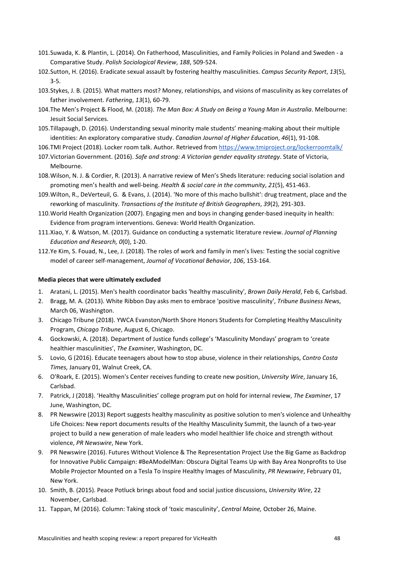- 101.Suwada, K. & Plantin, L. (2014). On Fatherhood, Masculinities, and Family Policies in Poland and Sweden a Comparative Study. *Polish Sociological Review*, *188*, 509-524.
- 102.Sutton, H. (2016). Eradicate sexual assault by fostering healthy masculinities. *Campus Security Report*, *13*(5), 3-5.
- 103.Stykes, J. B. (2015). What matters most? Money, relationships, and visions of masculinity as key correlates of father involvement. *Fathering*, *13*(1), 60-79.
- 104.The Men's Project & Flood, M. (2018). *The Man Box: A Study on Being a Young Man in Australia*. Melbourne: Jesuit Social Services.
- 105.Tillapaugh, D. (2016). Understanding sexual minority male students' meaning-making about their multiple identities: An exploratory comparative study. *Canadian Journal of Higher Education*, *46*(1), 91-108.
- 106.TMI Project (2018). Locker room talk. Author. Retrieved from<https://www.tmiproject.org/lockerroomtalk/>
- 107.Victorian Government. (2016). *Safe and strong: A Victorian gender equality strategy*. State of Victoria, Melbourne.
- 108.Wilson, N. J. & Cordier, R. (2013). A narrative review of Men's Sheds literature: reducing social isolation and promoting men's health and well-being. *Health & social care in the community*, *21*(5), 451-463.
- 109.Wilton, R., DeVerteuil, G. & Evans, J. (2014). 'No more of this macho bullshit': drug treatment, place and the reworking of masculinity. *Transactions of the Institute of British Geographers*, *39*(2), 291-303.
- 110.World Health Organization (2007). Engaging men and boys in changing gender-based inequity in health: Evidence from program interventions. Geneva: World Health Organization.
- 111.Xiao, Y. & Watson, M. (2017). Guidance on conducting a systematic literature review. *Journal of Planning Education and Research, 0*(0), 1-20.
- 112.Ye Kim, S. Fouad, N., Lee, J. (2018). The roles of work and family in men's lives: Testing the social cognitive model of career self-management, *Journal of Vocational Behavior*, *106*, 153-164.

#### **Media pieces that were ultimately excluded**

- 1. Aratani, L. (2015). Men's health coordinator backs 'healthy masculinity', *Brown Daily Herald*, Feb 6, Carlsbad.
- 2. Bragg, M. A. (2013). White Ribbon Day asks men to embrace 'positive masculinity', *Tribune Business News*, March 06, Washington.
- 3. Chicago Tribune (2018). YWCA Evanston/North Shore Honors Students for Completing Healthy Masculinity Program, *Chicago Tribune*, August 6, Chicago.
- 4. Gockowski, A. (2018). Department of Justice funds college's 'Masculinity Mondays' program to 'create healthier masculinities', *The Examiner*, Washington, DC.
- 5. Lovio, G (2016). Educate teenagers about how to stop abuse, violence in their relationships, *Contro Costa Times,* January 01, Walnut Creek, CA.
- 6. O'Roark, E. (2015). Women's Center receives funding to create new position, *University Wire*, January 16, Carlsbad.
- 7. Patrick, J (2018). 'Healthy Masculinities' college program put on hold for internal review, *The Examiner*, 17 June, Washington, DC.
- 8. PR Newswire (2013) Report suggests healthy masculinity as positive solution to men's violence and Unhealthy Life Choices: New report documents results of the Healthy Masculinity Summit, the launch of a two-year project to build a new generation of male leaders who model healthier life choice and strength without violence, *PR Newswire*, New York.
- 9. PR Newswire (2016). Futures Without Violence & The Representation Project Use the Big Game as Backdrop for Innovative Public Campaign: #BeAModelMan: Obscura Digital Teams Up with Bay Area Nonprofits to Use Mobile Projector Mounted on a Tesla To Inspire Healthy Images of Masculinity, *PR Newswire*, February 01, New York.
- 10. Smith, B. (2015). Peace Potluck brings about food and social justice discussions, *University Wire*, 22 November, Carlsbad.
- 11. Tappan, M (2016). Column: Taking stock of 'toxic masculinity', *Central Maine,* October 26, Maine.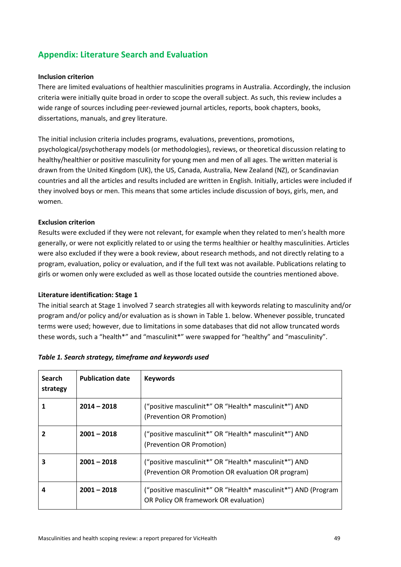# **Appendix: Literature Search and Evaluation**

#### **Inclusion criterion**

There are limited evaluations of healthier masculinities programs in Australia. Accordingly, the inclusion criteria were initially quite broad in order to scope the overall subject. As such, this review includes a wide range of sources including peer-reviewed journal articles, reports, book chapters, books, dissertations, manuals, and grey literature.

The initial inclusion criteria includes programs, evaluations, preventions, promotions, psychological/psychotherapy models (or methodologies), reviews, or theoretical discussion relating to healthy/healthier or positive masculinity for young men and men of all ages. The written material is drawn from the United Kingdom (UK), the US, Canada, Australia, New Zealand (NZ), or Scandinavian countries and all the articles and results included are written in English. Initially, articles were included if they involved boys or men. This means that some articles include discussion of boys, girls, men, and women.

### **Exclusion criterion**

Results were excluded if they were not relevant, for example when they related to men's health more generally, or were not explicitly related to or using the terms healthier or healthy masculinities. Articles were also excluded if they were a book review, about research methods, and not directly relating to a program, evaluation, policy or evaluation, and if the full text was not available. Publications relating to girls or women only were excluded as well as those located outside the countries mentioned above.

#### **Literature identification: Stage 1**

The initial search at Stage 1 involved 7 search strategies all with keywords relating to masculinity and/or program and/or policy and/or evaluation as is shown in Table 1. below. Whenever possible, truncated terms were used; however, due to limitations in some databases that did not allow truncated words these words, such a "health\*" and "masculinit\*" were swapped for "healthy" and "masculinity".

| <b>Search</b><br>strategy | <b>Publication date</b> | <b>Keywords</b>                                                                                             |
|---------------------------|-------------------------|-------------------------------------------------------------------------------------------------------------|
|                           | $2014 - 2018$           | ("positive masculinit*" OR "Health* masculinit*") AND<br>(Prevention OR Promotion)                          |
|                           | $2001 - 2018$           | ("positive masculinit*" OR "Health* masculinit*") AND<br>(Prevention OR Promotion)                          |
| 3                         | $2001 - 2018$           | ("positive masculinit*" OR "Health* masculinit*") AND<br>(Prevention OR Promotion OR evaluation OR program) |
| 4                         | $2001 - 2018$           | ("positive masculinit*" OR "Health* masculinit*") AND (Program<br>OR Policy OR framework OR evaluation)     |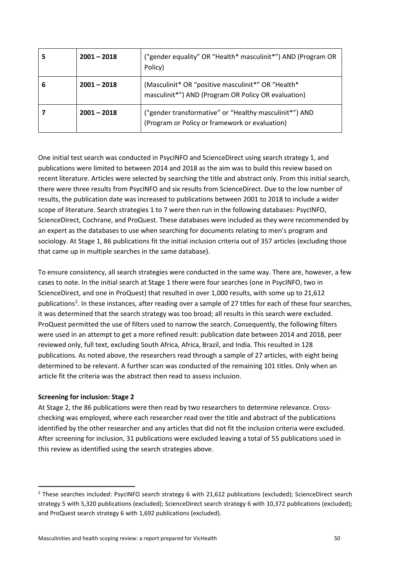| 5 | $2001 - 2018$ | ("gender equality" OR "Health* masculinit*") AND (Program OR<br>Policy)                                   |
|---|---------------|-----------------------------------------------------------------------------------------------------------|
| 6 | $2001 - 2018$ | (Masculinit* OR "positive masculinit*" OR "Health*<br>masculinit*") AND (Program OR Policy OR evaluation) |
|   | $2001 - 2018$ | ("gender transformative" or "Healthy masculinit*") AND<br>(Program or Policy or framework or evaluation)  |

One initial test search was conducted in PsycINFO and ScienceDirect using search strategy 1, and publications were limited to between 2014 and 2018 as the aim was to build this review based on recent literature. Articles were selected by searching the title and abstract only. From this initial search, there were three results from PsycINFO and six results from ScienceDirect. Due to the low number of results, the publication date was increased to publications between 2001 to 2018 to include a wider scope of literature. Search strategies 1 to 7 were then run in the following databases: PsycINFO, ScienceDirect, Cochrane, and ProQuest. These databases were included as they were recommended by an expert as the databases to use when searching for documents relating to men's program and sociology. At Stage 1, 86 publications fit the initial inclusion criteria out of 357 articles (excluding those that came up in multiple searches in the same database).

To ensure consistency, all search strategies were conducted in the same way. There are, however, a few cases to note. In the initial search at Stage 1 there were four searches (one in PsycINFO, two in ScienceDirect, and one in ProQuest) that resulted in over 1,000 results, with some up to 21,612 publications<sup>[2](#page-50-0)</sup>. In these instances, after reading over a sample of 27 titles for each of these four searches, it was determined that the search strategy was too broad; all results in this search were excluded. ProQuest permitted the use of filters used to narrow the search. Consequently, the following filters were used in an attempt to get a more refined result: publication date between 2014 and 2018, peer reviewed only, full text, excluding South Africa, Africa, Brazil, and India. This resulted in 128 publications. As noted above, the researchers read through a sample of 27 articles, with eight being determined to be relevant. A further scan was conducted of the remaining 101 titles. Only when an article fit the criteria was the abstract then read to assess inclusion.

#### **Screening for inclusion: Stage 2**

 $\overline{a}$ 

At Stage 2, the 86 publications were then read by two researchers to determine relevance. Crosschecking was employed, where each researcher read over the title and abstract of the publications identified by the other researcher and any articles that did not fit the inclusion criteria were excluded. After screening for inclusion, 31 publications were excluded leaving a total of 55 publications used in this review as identified using the search strategies above.

<span id="page-50-0"></span><sup>2</sup> These searches included: PsycINFO search strategy 6 with 21,612 publications (excluded); ScienceDirect search strategy 5 with 5,320 publications (excluded); ScienceDirect search strategy 6 with 10,372 publications (excluded); and ProQuest search strategy 6 with 1,692 publications (excluded).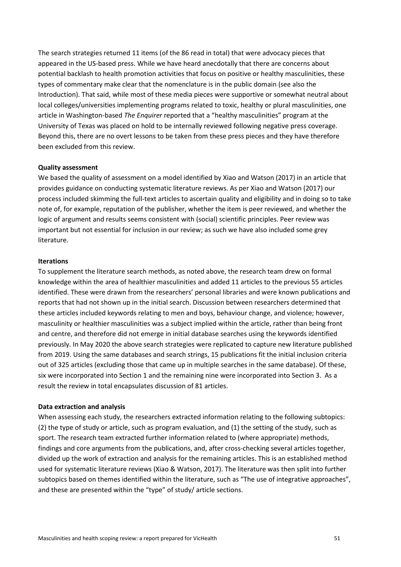The search strategies returned 11 items (of the 86 read in total) that were advocacy pieces that appeared in the US-based press. While we have heard anecdotally that there are concerns about potential backlash to health promotion activities that focus on positive or healthy masculinities, these types of commentary make clear that the nomenclature is in the public domain (see also the Introduction). That said, while most of these media pieces were supportive or somewhat neutral about local colleges/universities implementing programs related to toxic, healthy or plural masculinities, one article in Washington-based *The Enquirer* reported that a "healthy masculinities" program at the University of Texas was placed on hold to be internally reviewed following negative press coverage. Beyond this, there are no overt lessons to be taken from these press pieces and they have therefore been excluded from this review.

#### **Quality assessment**

We based the quality of assessment on a model identified by Xiao and Watson (2017) in an article that provides guidance on conducting systematic literature reviews. As per Xiao and Watson (2017) our process included skimming the full-text articles to ascertain quality and eligibility and in doing so to take note of, for example, reputation of the publisher, whether the item is peer reviewed, and whether the logic of argument and results seems consistent with (social) scientific principles. Peer review was important but not essential for inclusion in our review; as such we have also included some grey literature.

#### **Iterations**

To supplement the literature search methods, as noted above, the research team drew on formal knowledge within the area of healthier masculinities and added 11 articles to the previous 55 articles identified. These were drawn from the researchers' personal libraries and were known publications and reports that had not shown up in the initial search. Discussion between researchers determined that these articles included keywords relating to men and boys, behaviour change, and violence; however, masculinity or healthier masculinities was a subject implied within the article, rather than being front and centre, and therefore did not emerge in initial database searches using the keywords identified previously. In May 2020 the above search strategies were replicated to capture new literature published from 2019. Using the same databases and search strings, 15 publications fit the initial inclusion criteria out of 325 articles (excluding those that came up in multiple searches in the same database). Of these, six were incorporated into Section 1 and the remaining nine were incorporated into Section 3. As a result the review in total encapsulates discussion of 81 articles.

#### **Data extraction and analysis**

When assessing each study, the researchers extracted information relating to the following subtopics: (2) the type of study or article, such as program evaluation, and (1) the setting of the study, such as sport. The research team extracted further information related to (where appropriate) methods, findings and core arguments from the publications, and, after cross-checking several articles together, divided up the work of extraction and analysis for the remaining articles. This is an established method used for systematic literature reviews (Xiao & Watson, 2017). The literature was then split into further subtopics based on themes identified within the literature, such as "The use of integrative approaches", and these are presented within the "type" of study/ article sections.